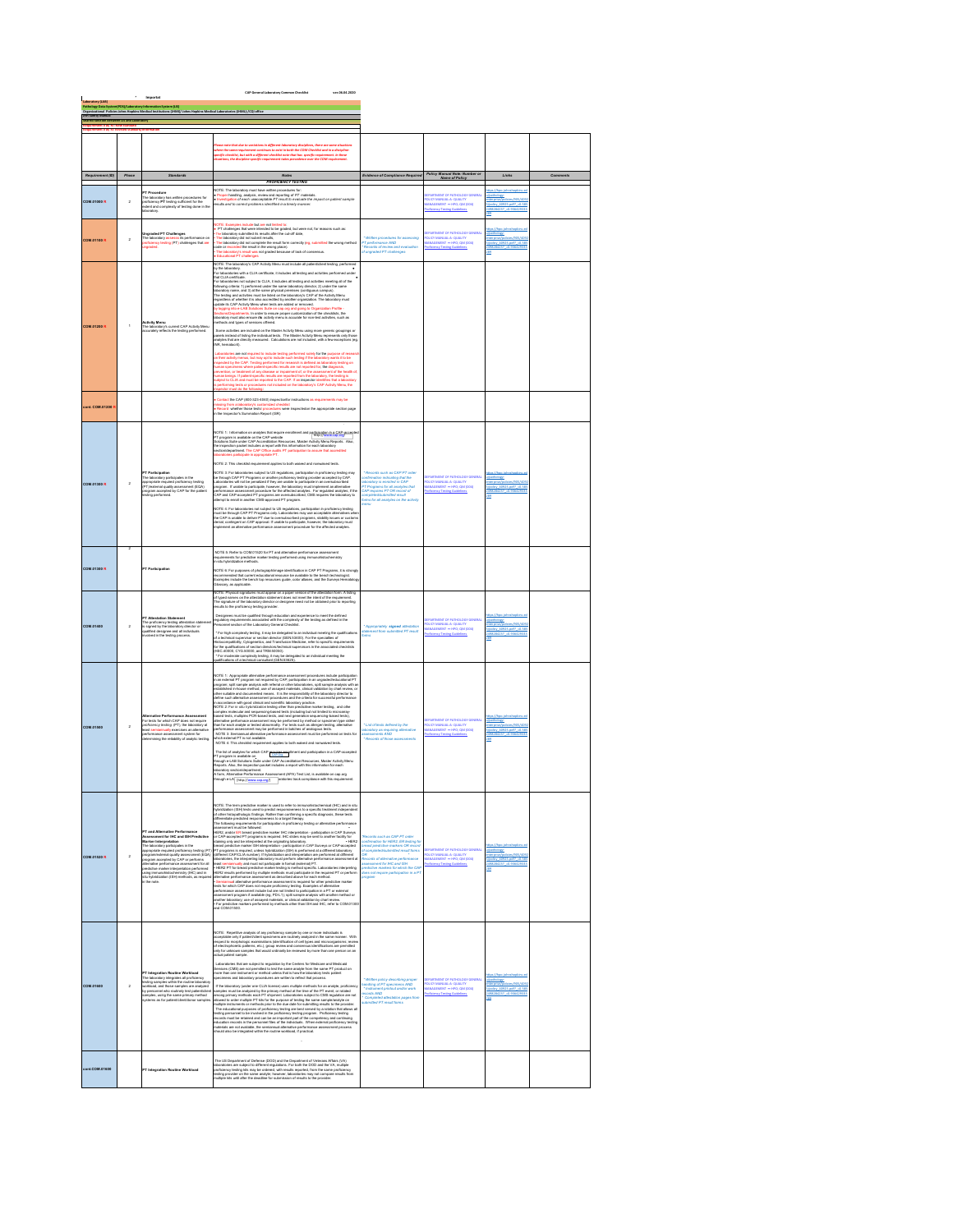|                                                             |                 | Importat                                                                                                                                                                                                                                                                                                                                                                                                                  | CAP General Laboratory Common Checklist<br>ver.06.04.2020                                                                                                                                                                                                                                                                                                                                                                                                                                                                                                                                                                                                                                                                                                                                                                                                                                                                                                                                                                                                                                                                                                                                                                                                                                                        |                                                                                                                                                                                                                                                                             |                                                                                                                                      |                                                                                                                       |  |
|-------------------------------------------------------------|-----------------|---------------------------------------------------------------------------------------------------------------------------------------------------------------------------------------------------------------------------------------------------------------------------------------------------------------------------------------------------------------------------------------------------------------------------|------------------------------------------------------------------------------------------------------------------------------------------------------------------------------------------------------------------------------------------------------------------------------------------------------------------------------------------------------------------------------------------------------------------------------------------------------------------------------------------------------------------------------------------------------------------------------------------------------------------------------------------------------------------------------------------------------------------------------------------------------------------------------------------------------------------------------------------------------------------------------------------------------------------------------------------------------------------------------------------------------------------------------------------------------------------------------------------------------------------------------------------------------------------------------------------------------------------------------------------------------------------------------------------------------------------|-----------------------------------------------------------------------------------------------------------------------------------------------------------------------------------------------------------------------------------------------------------------------------|--------------------------------------------------------------------------------------------------------------------------------------|-----------------------------------------------------------------------------------------------------------------------|--|
| Pathology Data Sy<br>Organizational Po<br>Suit Safety Manua | ween US and Lat | tem(PDS)/Laboratory Information System (US)<br>icies Johns Hopkins Medical Institutions (JHM()/ Johns Hopkins Medical Laboratories (JHML)-/CQI office                                                                                                                                                                                                                                                                     |                                                                                                                                                                                                                                                                                                                                                                                                                                                                                                                                                                                                                                                                                                                                                                                                                                                                                                                                                                                                                                                                                                                                                                                                                                                                                                                  |                                                                                                                                                                                                                                                                             |                                                                                                                                      |                                                                                                                       |  |
|                                                             |                 |                                                                                                                                                                                                                                                                                                                                                                                                                           |                                                                                                                                                                                                                                                                                                                                                                                                                                                                                                                                                                                                                                                                                                                                                                                                                                                                                                                                                                                                                                                                                                                                                                                                                                                                                                                  |                                                                                                                                                                                                                                                                             |                                                                                                                                      |                                                                                                                       |  |
|                                                             |                 |                                                                                                                                                                                                                                                                                                                                                                                                                           | ns in different laboratory disciplines, there are some situati<br>titusus to esist in babb the COM Checklift and in a disciplin<br>iennt checklist nate that has specific requirement, in these<br>requirement takes precedence over th<br>w the same requirement co.<br>(ic checklist, but with a diff                                                                                                                                                                                                                                                                                                                                                                                                                                                                                                                                                                                                                                                                                                                                                                                                                                                                                                                                                                                                          |                                                                                                                                                                                                                                                                             |                                                                                                                                      |                                                                                                                       |  |
| ent (ID)                                                    | Phase           |                                                                                                                                                                                                                                                                                                                                                                                                                           | Notes<br><b>PROFICIENCY TESTING</b>                                                                                                                                                                                                                                                                                                                                                                                                                                                                                                                                                                                                                                                                                                                                                                                                                                                                                                                                                                                                                                                                                                                                                                                                                                                                              | ce of Cor                                                                                                                                                                                                                                                                   |                                                                                                                                      |                                                                                                                       |  |
| <b>COM.01000 R</b>                                          | $\overline{2}$  | <b>PT Procedure</b><br>PT Procedure<br>The laboratory has written procedures for<br>proficiency PT testing sufficient for the<br>extert and complexity of testing done in the<br>oratory.                                                                                                                                                                                                                                 | VOTE: The laboratory m<br>at have witten procedur<br>. Proper handling, analysis, review and reporting of PT materials.<br>I Investigation of each unacceptable PT result to evaluate the impact on patient sample<br>eaults and to correct problems identified in a timely manner.                                                                                                                                                                                                                                                                                                                                                                                                                                                                                                                                                                                                                                                                                                                                                                                                                                                                                                                                                                                                                              |                                                                                                                                                                                                                                                                             | ATHOLOGY GENERA<br>EPARTMENT OF PATROLOGY GEN<br>DUCY MANUAL A- QUALITY<br>NAMGEMENT  — HPO; QM (CO4)<br>rošcimcy Texting Guidelines | /pathology-<br>nterprise/po<br>/policy 40925.pdf? +0.585<br>498284237 +0.93642931<br>12                               |  |
| <b>COM.01100 R</b>                                          | $\overline{2}$  | Ungraded PT Challenges<br>The laboratory assesse its performance on<br>proficiency teating (PT) challenges that are<br>ungraded.                                                                                                                                                                                                                                                                                          | NOTE: Examples include but are not limited to:<br>• PT callenges that were introduced by a granded, but were not, for reasons such as:<br>• The laboratory durinthed its results after the cut-off date,<br>• The laboratory did not su<br>Educational PT challenges<br>VOTE: The laboratory's CAP Activity Meru must include all patient/client testing, perf                                                                                                                                                                                                                                                                                                                                                                                                                                                                                                                                                                                                                                                                                                                                                                                                                                                                                                                                                   | Written procedures for assessing<br>PT parformance AND<br>Records of review and evaluation<br>of ungraded PT challenges                                                                                                                                                     | <b>EPARTMENT OF PATHOLOGY GENERAL</b><br><b>OUCYMANUAL A-QUALITY</b><br>ANAGEMENT - HPO: OM (CO4)<br>oficiency Texting Guidelia      | tes://hoo.lot<br>/pathology-<br>nterorisa/policies/905/409<br>/policy 40925.pdf? +0.58<br>498284217 +0.91642913<br>19 |  |
| <b>COM.01200 R</b>                                          | 1               | <b>Activity Menu</b><br>he laboratory's current CAP Activity Menu<br>curately reflects the testing performed.                                                                                                                                                                                                                                                                                                             | For identification to take the CLA (kind)<br>and an identification method of the control of the control of the control of<br>the same of the control of the same and control of the control of the<br>control of the same and control<br>nethods and types of services offered.<br>Some activities are included on the Master Activity Menu using more generic groupings or<br>panels instead of listing the individual tests. The Master Activity Menu represents only those<br>analytes that are directly measured. Calculations are not included, with a few exceptions (eg<br>NR, hematocrit).<br>Laboratories are not required to include testing performed solely for the purpose<br>Lustensmear are not request to recurse wavery performed skeley for the purpose of research.<br>In their activity means, but may opt to include such testing if the laboratory words it to be<br>in projected by the CAP. Testing par<br>namen oeurga. In passes-species results aer seponse mom tra laconacy, me laconico.<br>labject to CLIA and must be reported to the CAP. If an impector identifies that a laborato<br>is performing leats or procedures not included o<br>ratory                                                                                                                                |                                                                                                                                                                                                                                                                             |                                                                                                                                      |                                                                                                                       |  |
| ont. COM.01200                                              |                 |                                                                                                                                                                                                                                                                                                                                                                                                                           | Contact the CAP (800-323-4040) inspectionfor instructions as requirements may be<br>missing from a laboratory's customized checklist<br>• Record: whether those testal procedures were inspectedon the appropriate section page<br>in the Inspector's Summation Report (ISR)                                                                                                                                                                                                                                                                                                                                                                                                                                                                                                                                                                                                                                                                                                                                                                                                                                                                                                                                                                                                                                     |                                                                                                                                                                                                                                                                             |                                                                                                                                      |                                                                                                                       |  |
| <b>COM.01300 R</b>                                          | $\overline{2}$  | <b>PT Participation</b><br>The laboratory participates in the appropriate enquine function<br>red (PT) lexternal quality assessment (EQA) program accepted by<br>$\mathsf{CAP}$ for the patier testing performed.                                                                                                                                                                                                         | NOTE 1: Information on analytes that require enrollment and preferention in a CAD-prone<br>PT program is available on the CAP website<br>Solutions Sulle under CAP Accorditation Resources, Master Activity Menu Reports. Also,<br>the<br>a participate in appropriate PT<br>NOTE 2: This checklist requirement applies to both waived and nonwaived tests<br>NOTE 3: For laboratories subject to US regulations, participation in proficiency lasting may be through CAP PT Program or another printed incredible account of the state incredible process and content in a participate of<br>NOTE 4: For laboratories not subject to US regulations, participation in proficiency leating<br>must be through CAP PT Programs only. Leboratories may use acceptable alternatives was<br>the CAP is unable to deliver PT due to ove                                                                                                                                                                                                                                                                                                                                                                                                                                                                               | * Records such as CAP PT order<br>infirmation indicating that the<br>boratory is enrolled in CAP<br>ms for all analytes on the activity                                                                                                                                     | INT OF PATHOLOGY GENERA<br><b><i>EPARTMENT OF PARTNER</i></b><br>DUCY MANUAL A- QUALITY<br>MANAGEMENT - HPO, QM (00<br>scy Testing   | fpathology-<br>sterorise/pol<br>policy 40925.pdf? +0.51<br>49828423                                                   |  |
| <b>COM.01300 R</b>                                          |                 | PT Participation                                                                                                                                                                                                                                                                                                                                                                                                          | NOTE 5: Refer to COM.01520 for PT and alternative performance assessme<br>veguinaments. For predictive market teating performed using immunohistochemistry.<br>In situ hybridization methods.<br>In situ hybridization methods.<br>.<br>NOTE 6: For purposes of photographlimage identification in CAP PT Programs, it is strongly<br>recommended that current educational resource be available to the bench technologist.<br>Exemples include the bench top resources gu<br>lossary, as applicable.                                                                                                                                                                                                                                                                                                                                                                                                                                                                                                                                                                                                                                                                                                                                                                                                            |                                                                                                                                                                                                                                                                             |                                                                                                                                      |                                                                                                                       |  |
| COM.01400                                                   | 2               | PT Attestation Statement<br>The proficiency testing attestation stat<br>is signed by the laboratory director or<br>qualified designes and all individuals<br>involved in the testing process.                                                                                                                                                                                                                             | .<br>NOTE: Physical signatures must appear on a paper version of the attestation form. A listing<br>of typed names on the attestation statement does not meet the intent of the requirement.<br>.<br>The signature of the laboratory director or designee need not be obtained prior to reporting<br>results to the proficiency testing provider.<br>Designees must be qualified through education and experience to meet the defined<br>egulatory requirements associated with the complexity of the texting as defined in the<br>Personnel section of the Laboratory General Checkfat.<br>$^{\ast}$ For Hgh) complexity leading, it may be delegated to an individual meeting the qualification of a lateriorial superinter or section denote the CEH32400, For the apsociates of the<br>delete the compatibility, Cybogeneti                                                                                                                                                                                                                                                                                                                                                                                                                                                                                  | * Appropriately signed attestation<br>fatement from submitted PT result                                                                                                                                                                                                     | ATHOLOGY GENERAL<br>SUCY MANUAL A- QUALITY<br>ANAGEMENT  — HPO; QM (004)<br>oficiency Testing Guidelines                             | /pathology-<br>nterprise/po<br>/policy 40925.pdf? +0.585<br>498284237<br>19                                           |  |
| COM.01500                                                   | $\overline{2}$  | <b>Alternative Perform</b><br>ince Assesse<br>or tests for which CAP do<br>ea not require<br>sediciency testing (PT), the laboratory at<br>usi sen<br>innually coarcises an alterna<br>performance assessment system for<br>determining the reliability of analytic testing                                                                                                                                               | $167\%\%$ . Appropriate allows<br>the performance assumes procedures broads and the performance as a<br>property of the control of the control of the control of the control of<br>the control of the control of the control of the con<br>verformance assessment may be performed in batches of analogous tests.<br>NOTE 3: Semiannual alternative performance assessment must be performed on tests for<br>The list of analytes for which CAP requires any liment and participation in a CAP-accepted<br>PT program is available on<br>- ITRI BBI Of www.ywes not mesure that COU City<br>PT program is available on the CAP Accorditation Resources, Masker Activity Menu<br>Reports. Also, the impaction packet includes a report with this information for each<br>laboratory section/department.<br>A form, Alternative Performance Assessment (APA) Test List, is available on cap.org<br>ough e-LA [http://www.cap.org/] orato<br>nce with this re<br>a n                                                                                                                                                                                                                                                                                                                                                | * List of tests defined by the<br>aboratory as requiring alternative<br>ssassments AND<br>* Records of those assess                                                                                                                                                         | <b>EPARTMENT OF PATHOLOGY GENERAL</b><br>OUCY MANUAL A- QUALITY<br>MANAGEMENT = HPO; QM (DDA)<br>oficiency Testing Gui               | /pathology-<br>nterprise/policies/905.40<br>/policy 40925.pdf? +0.585<br>2498284217 -0.91642911<br>110                |  |
| <b>COM.01520R</b>                                           | $\overline{2}$  | PT and Alternative Performance<br>Assessment for IHC and ISH Predictive<br>Marker Interpretation<br>The la<br>cratory participate<br>ppropriate required proficiency te<br>spopunies steps to an account of the property and the property of the property and alternative performation of the property of the property of the property of the property of the property of the property of the property of<br>in this mode | <b>VOTE: The tr</b><br>arker is used to refer to im<br>tical (IHC) and in alt<br>vou en: treu samm presenzeve marieur na useu to resur en emmeromentocumment (umu, sezo m<br>vybridization (1914) Nasta usaed to predict responsivements to a specific treatment independent (under the st<br>of other histopathologi<br>.<br>The following requirements fo<br>assessment must be followed<br>ER2, and/or ER breast predictive marker IHC interpretation - participation in CAP Surveys<br>$\Phi(\mathbf{Z},\mathbf{z})$ and to Fi bear at precision matter. It is the<br>presidion- preferable to the control of the state of the state of the<br>state of the state of the state of the state of the state of the<br>state of the state of t<br>.<br><u>- Semiennul alternative performance assessment is required for other predictive marker</u><br>tests for which CAP does not require proficiency testing. Exemples of alternative<br>performance assessment include but are not limited to participation in a PT or external<br>issessment program if available (eg. PD-L1); split sample analysis with another method or<br>inother laboratory, use of assayed materials, or clinical validation by chart review.<br>• For predictive markers performed by methods<br>For predictive m<br>and COM 01500 | Records such as CAP PT order<br>onfirmation for HER2, ER testin<br>reast predictive markers OR re<br>sitted result f<br><b>Hotel of allematics nady</b><br>contact the term of the production<br>edictive markers for which the CAI<br>has not require participation in a P | <b>ITMENT OF PATHOLOGY GENERA</b><br><b>UCY MANU</b><br>MANUAL-A-QUALITY<br>EMENT - HPO; QM (DD4)                                    | 39                                                                                                                    |  |
| COM.01600                                                   | $\overline{2}$  | PT Integration Routine Workload<br>- In integration incurrent and proficiency<br>The laboratory integrates all proficiency<br>teology semples within the routine laborator<br>workload, and those samples are analyzed<br>by personnel who routinely test patienticles<br>riples, using the same primary method<br>voltems as for patient/client/donor sample                                                             | NOTE: Repetitive analysis of any proficiency sample by one or more individuals is<br>NO LIC: response assumpts of any protectory sample up on or monotonic income of a state material condition of $\beta$ published in the procedure and product of $\beta$ published in the procedure of the state of $\beta$ published i<br>Laboratories that are subject to regulation by the Centers for Medicare and Medic.<br>Services (CMS) are not permitted to test the same analyte form the same PT production<br>more than one instrument or method unless that is how<br>If the laboratory (under one CLIA license) uses multiple methods for an analyte, profic<br>samples must be analyzed by the primary method at the time of the PT event, or rotate<br>batch<br>imong primary methods each PT shipment. Laboratories subject to CMS regulation are not<br>armore premates material and the properties. Laboratories and<br>packing the same sure properties and the properties of the same samples<br>and packing the same sure properties and the properties of the same samples<br>and packing                                                                                                                                                                                                             | <b>MAGNA</b><br><b>Foy describing</b><br>dling of PT specimens AND<br>tatrument printcut and/or work<br>* Inst<br>Cords AND<br>Completed attestation pages from                                                                                                             | <b>EPARTMENT OF PATHOLOGY GENERAL</b><br><b>OUCYMANUAL A-QUALITY</b><br>ANAGEMENT - HPO; QM (DDA)<br>oficiency Testing Guidelis      | 29                                                                                                                    |  |
| ont.COM.01600                                               |                 | <sup>PT</sup> Integration Routine Wor                                                                                                                                                                                                                                                                                                                                                                                     | The US Department of Defense (DOD) and the Department of Veterans Affairs (VA)<br>abonatories are subject to different regulations. For both the DOD and the VA, multipl<br>are following kits may be ordered, with results reported<br>esting provider on the same analyte; however, laboratories may not compare results from<br>rultiple kits until after the deadline for submission of results to the provider.                                                                                                                                                                                                                                                                                                                                                                                                                                                                                                                                                                                                                                                                                                                                                                                                                                                                                             |                                                                                                                                                                                                                                                                             |                                                                                                                                      |                                                                                                                       |  |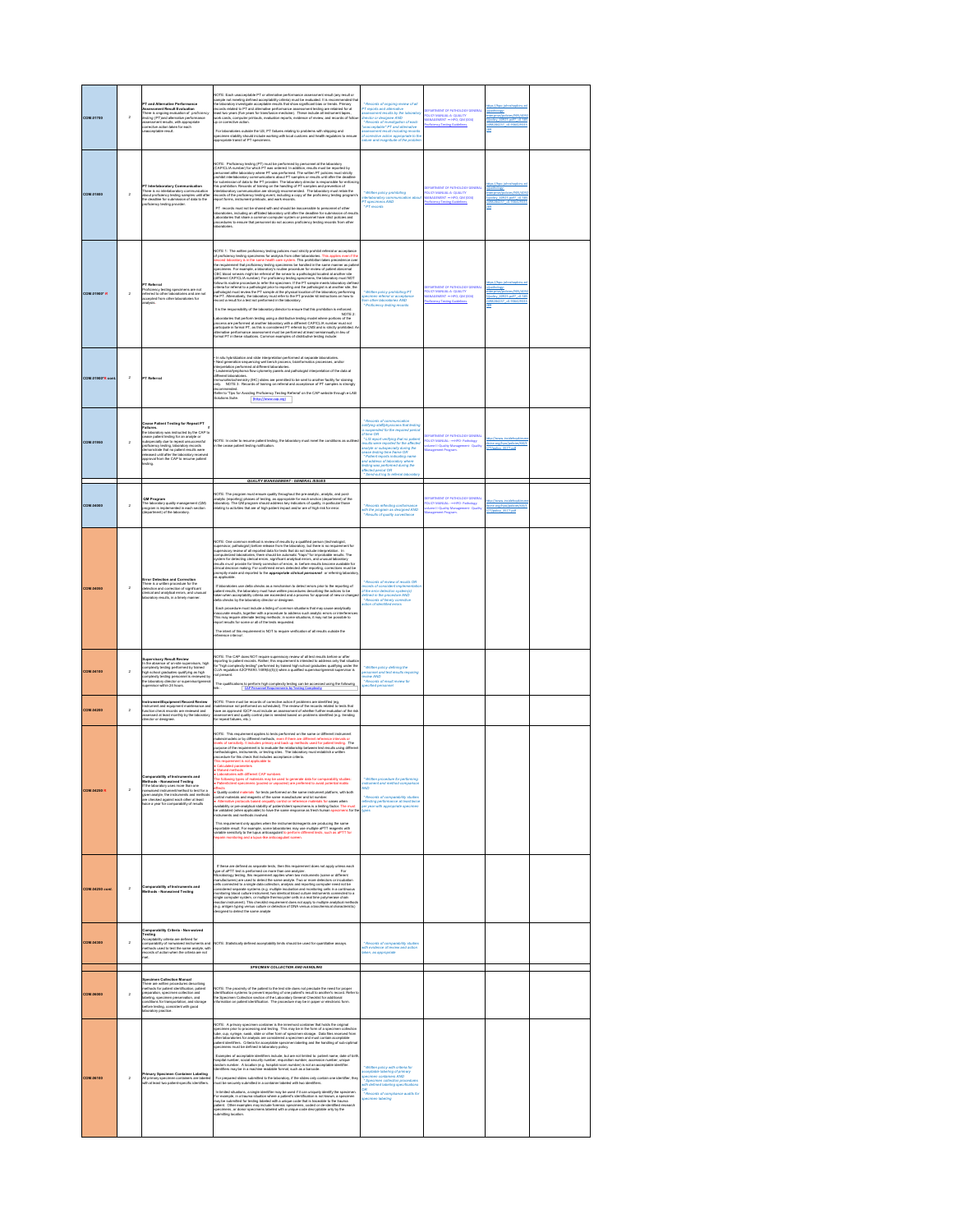| <b>COM.01700</b>       | $\overline{2}$ | PT and Alternative Performance<br>r i ano Adernative Performance<br>Assessment Result Evaluation<br>There is orgoing evaluation of proficiency<br>teating (PT)and alternative performance<br>ssessment results, with approp<br>orrective action taken for each<br>ropriate<br>nacospiable result.                                                      | NOTE: Each unacceptable PT or alternative performance assessment wast (any result or any exact or any exact or contained product in the model of the score of the second product of the second product of the second product<br>For laboratories outside the US, PT failures relating to problems with shipping and<br>specimen stability should include working with local customs and health regulators to<br>ra to ensur<br>ipecimen stability should include wor<br>ippropriate transit of PT specimens.                                                                                                                                                                                                                                                                                                                                                                                                                                                                                                                                                                                                                                                                                                                                                                                                                                                                                                                                                                                                                    | Records of ongoing review of all<br>T reports and aftern<br>saussment results by the laboratory<br>Inector or designee AND<br>* Records of investigation of each<br>inacceptable* PT and alternative<br>ssessment result including records<br>If corrective action appropriate to th<br>f corrective action appropriate to<br>eture and magnitude of the prob                                                      | <b>EPARTMENT OF PATHOLOGY GENERA</b><br>POLICY MANUAL A- QUALITY<br>MANAGEMENT  — HPO; QM (CO4)<br>aficiency Testing Guid | pathology-<br>dicies/905/4                           |  |
|------------------------|----------------|--------------------------------------------------------------------------------------------------------------------------------------------------------------------------------------------------------------------------------------------------------------------------------------------------------------------------------------------------------|---------------------------------------------------------------------------------------------------------------------------------------------------------------------------------------------------------------------------------------------------------------------------------------------------------------------------------------------------------------------------------------------------------------------------------------------------------------------------------------------------------------------------------------------------------------------------------------------------------------------------------------------------------------------------------------------------------------------------------------------------------------------------------------------------------------------------------------------------------------------------------------------------------------------------------------------------------------------------------------------------------------------------------------------------------------------------------------------------------------------------------------------------------------------------------------------------------------------------------------------------------------------------------------------------------------------------------------------------------------------------------------------------------------------------------------------------------------------------------------------------------------------------------|--------------------------------------------------------------------------------------------------------------------------------------------------------------------------------------------------------------------------------------------------------------------------------------------------------------------------------------------------------------------------------------------------------------------|---------------------------------------------------------------------------------------------------------------------------|------------------------------------------------------|--|
| <b>COM.01800</b>       | $\,$ 2 $\,$    | T Interlaboratory Com<br>oficiency testing provider                                                                                                                                                                                                                                                                                                    | PT records must not be shared with and should be inaccessible to personnel of other<br>laboratories, including an affiliated laboratory until after the deadline for submission of result<br>Laboratories that share a common computer system or personnel have strict policies and<br>procedures to ensure that personnel do not access proficiency testing records from other                                                                                                                                                                                                                                                                                                                                                                                                                                                                                                                                                                                                                                                                                                                                                                                                                                                                                                                                                                                                                                                                                                                                                 | Mitten policy prohibiting<br>defaboratory communicat<br><b>OWA sneetings T<sup>4</sup></b><br><b>PT</b> records                                                                                                                                                                                                                                                                                                    | FRASTMENT OF PATHOLOGY GENERAL<br>OUCY MANUAL-A- QUALITY<br>AANAGEMENT - HPO; QM (CO4)<br>stine Gi                        | im Pags.                                             |  |
| <b>COM.01900" R</b>    | $\overline{2}$ | <sup>&gt;T</sup> Referral<br>roficiency testing specimens are not<br>remed to other laboratories and are not<br>coepted from other laboratories for                                                                                                                                                                                                    | NOTE 1: The written proficiency testing policies must strictly prohibit referred or accepta<br>of proficiency testing specimens for analysis from other laboratories. This applies even<br>second laboratory is in the same health c<br>of proficiency teating apaciment for analysis from other laboratories. This applies even if th<br>second laboratory is in the same health care system. This prohibition takes precedence ove<br>the requirement that proficiency tea<br>specimens. For example, a laboratory's routine procedure for review of patient abnormal<br>CBC blood smears might be referral of the smear to a pathologist located at another site<br>different CAP/CLIA number). For proficiency testing specimens, the laboratory must NOT<br>connection. According that the system of the processor of the system of the control of the system of the system of the system of the system of the system of the system of the system of the system of the system of the syst<br>It is the responsibility of the laboratory director to ensure that this prohibition is enfor<br>NOTE 2:<br>.<br>Laboratories that perform testing using a distributive testing model where portions of the<br>process are performed at another laboratory with a different CAP/CLIA number must not<br>participate in formal PT, as this is consid<br>alternative performance assessment must be performed at least semiannually in Seu of<br>formal PT in these situations. Common examples of distributive texting include: | " Written policy prohibiting PT<br>secimen referral or acceptance<br>:m other laboratories AND<br>" Proficiency num<br>cy festing n                                                                                                                                                                                                                                                                                | KICY MANUAL A-QUALITY<br>ANAGEMENT = HPO; QM (00                                                                          | athology-<br>terorise/pol<br>policy 40925.pdf? +0.51 |  |
| COM.01900"R com        | $\overline{2}$ | PT Referral                                                                                                                                                                                                                                                                                                                                            | In situ hybridization and slide interpretation performed at separate laboratories.<br>Not generation sequencing wet bench process, bioinformatics processes, and/or<br>relayerships performed at different laborations:<br>- Leukemiallyrephornal fow cytometry genetic and pathologist interpretation of the data at<br>diff<br>nt laboratories.<br>schiatochamistry (IHC) slides are permitted to be sent to another facility for staining<br>NOTE 3: Records of training on referral and acceptance of PT samples is strongl<br>(http://www.cap.org)                                                                                                                                                                                                                                                                                                                                                                                                                                                                                                                                                                                                                                                                                                                                                                                                                                                                                                                                                                         |                                                                                                                                                                                                                                                                                                                                                                                                                    |                                                                                                                           |                                                      |  |
| <b>COM.01950</b>       | $\overline{a}$ | <b>Cease Patient Testing for Repeat PT</b><br>Failures.<br>the laboratory was instructed by the CAP to<br>are uses<br>to size patient braining for an analytic or subspecially due to repeat unsuccessful<br>subspecially due to repeat unsuccessful<br>proficiency testing, laboratory records<br>democratizatic fluit rapidient results were<br>appr | NOTE: In order to resume patient texting, the laboratory must meet the conditions as ou<br>in the cease patient testing notification.<br>QUALITY MANAGEMENT - GENERAL ISSUES                                                                                                                                                                                                                                                                                                                                                                                                                                                                                                                                                                                                                                                                                                                                                                                                                                                                                                                                                                                                                                                                                                                                                                                                                                                                                                                                                    | Records of communication<br>ofifying staffphysicians that teating<br>I suspended for the required period<br>is suspe<br>is suspensively for the required period<br>of time OR<br>$^+$ LIS report verifying that no pallert<br>$\sim$ LIS report verifying that no pallert<br>results were reported for the affected<br>cease listing from Euras OR<br>$\sim$ Pallert reports i<br>* Send-out log to referrel labor | SLICY MANUAL: -== 11PO<br>share II-Quality Manage<br><b>IPO</b> - Pathol<br>sent- Qua                                     | cine.org/hoo/polici                                  |  |
| COM NON                | $\overline{2}$ | <b>QM Program</b><br>The laboratory quality management (QM)<br><u>nengram is imple</u> mented in each section<br>regram is implemented<br>department) of the labor                                                                                                                                                                                     | NOTE: The program must ensure quality throughout the pre-enalytic, analytic, and post-<br>analytic (reporting) phases of larsting, as appropriate for each section (department) of the basic<br>laboratory. The QM program should ad                                                                                                                                                                                                                                                                                                                                                                                                                                                                                                                                                                                                                                                                                                                                                                                                                                                                                                                                                                                                                                                                                                                                                                                                                                                                                            | * Records reflecting conformance<br>with the program as designed AND<br>* Results of quality surveillance                                                                                                                                                                                                                                                                                                          | <b>GUCY MANUAL: -== HPO - Pa</b><br>GUCY MANUAL: -== HPO - Pa<br>daragement Program.                                      |                                                      |  |
| <b>COM.04050</b>       | $\overline{2}$ | <b>Error Detection and Correction</b><br>There is a written procedure for the<br>detection and correction of significant<br>:<br>krical and analytical errors, and unusual<br>aboratory results, in a timely manner.                                                                                                                                   | $\text{MOTE}$ . One common mathod is review of results by a qualified person (hechrodogist, taspertinory particularly interest in the last both control in the spectrum of the spectrum of the spectrum of the spectrum of the spe<br>a so<br>If laboratories use delta checks as a mechanism to detect errors prior to the reporting of<br>patient reauths, the laboratory must have written procedures describing the actions to be<br>taken when acceptability criteria are exceeded and a process for approval of new or change<br>delta checks by the laboratory director o<br>: Each procedure must include a listing of common situations that may cause analytically<br>inaccurate meals), together with a procedure to address such analytic errors or interferen<br>This may require alternate testing methods<br>The intent of this requirement is NOT to require verification of all results outside the<br>vference interval                                                                                                                                                                                                                                                                                                                                                                                                                                                                                                                                                                                       | Records of review of results OR<br>cords of consistent implement<br>of the error detection system(s)<br>defined in the procedure AND<br>* Records of timely corrective<br>action of identified errors                                                                                                                                                                                                              |                                                                                                                           |                                                      |  |
| <b>COM.04100</b>       | $\overline{2}$ | servisory Result Review<br>le situence of on-site supervisors, high<br>In the abser<br>complexity testing performed by trained<br>Completed graduates qualifying as high<br>high school graduates qualifying as high<br>complexity testing personnel is reviewed by<br>the laboratory director or supervisorigeneral<br>supervisor within 24 hours.    | NOTE: The CAP does NOT require supervisory review of all test results before or after<br>vezual. . na uzer usoara vezi i wojenie naparevazi y menov o va nano matematika izunali za političnih protesta<br>fer "high complexity teating" performed by trained high school graduates qualifying under the<br>CLIA regulation 4<br>mot present.<br>The qualifications to perform high complexity leading can be accessed using the following<br>link: $\overline{CAP}$ Personnel Requirements by Testing Complexity                                                                                                                                                                                                                                                                                                                                                                                                                                                                                                                                                                                                                                                                                                                                                                                                                                                                                                                                                                                                               | Written policy defining the<br>ersonnel and test results requi<br>wiew AND<br>: Records of result review for<br>secified personnel                                                                                                                                                                                                                                                                                 |                                                                                                                           |                                                      |  |
| <b>COM.04200</b>       | $\mathbf 2$    | <b>Instrument/Equipment Record Review</b><br>Instrument and equipment maintenance<br>function check records are reviewed and<br>caused at least monthly by the laboratory<br>lirector or designee.                                                                                                                                                     | NOTE: There must be records of corrective action if problems are identified (eg.<br>miniterience rot performed as acheduled). The reviewe of the records related to leads that<br>steels amapproved IOCP must include an assessment                                                                                                                                                                                                                                                                                                                                                                                                                                                                                                                                                                                                                                                                                                                                                                                                                                                                                                                                                                                                                                                                                                                                                                                                                                                                                             |                                                                                                                                                                                                                                                                                                                                                                                                                    |                                                                                                                           |                                                      |  |
| <b>COM.04250 R</b>     | $\overline{2}$ | <b>Comparability of Instruments and</b><br>Methods - Nonwaived Testine<br>If the laboratory uses more than one<br>norwalved instrument/method to test for a<br>given analyte, the instruments and methods<br>are checked against each other at least<br>twice a year for comparability of results                                                      | .<br>NOTE: This requirement applies to tests performed on the same or different instrument<br>kivels of semidivily. It includes primary and beack up methods used for patient testings on<br>kivels of semidivily. It includes primary<br>methodologies, instruments, or testing sites. The laboratory must establish a written<br>anocedure for this check that includes acceptance criteria.<br>his requirement is not applicable to:<br>Calculated parameters<br>Laboratories with different CAP numbers<br>he following types of materials may be used to generate data for comparability studies:<br>erneut<br>contably control realaristic for tasts performed on the same instrument platform, with both<br>contably materials and reagants of the same meantletician and bit certainty.<br>contablisty or gree analytical stability of pa<br>ra for the<br>This requirement only applies when the instruments/reagents are producing the same<br>reportable result. For example, some laboratorica may use mutiple aPTT reagents with<br>reniable sensitivity to the lupus anticoagulant to per                                                                                                                                                                                                                                                                                                                                                                                                                         | * Written procedure for pe<br>* Records of comperability at:<br>effecting performance at least                                                                                                                                                                                                                                                                                                                     |                                                                                                                           |                                                      |  |
| <b>COM.04250 cont.</b> | $\overline{2}$ | Comparability of Instruments and<br>fethods - Nonwaived Testing                                                                                                                                                                                                                                                                                        | If these are defined as separate tests, then this requirement does not apply unless each<br>type of aPTT test is performed on more than one analyzer.<br>Microbiology testing, this requirement applies when two instruments (same o<br>Microsoftop Maring, the requirement applies when the public<br>state of the conditions of the state of the state of the state of the<br>condition of the state of the state of the state of the state of<br>the state of the state of                                                                                                                                                                                                                                                                                                                                                                                                                                                                                                                                                                                                                                                                                                                                                                                                                                                                                                                                                                                                                                                   |                                                                                                                                                                                                                                                                                                                                                                                                                    |                                                                                                                           |                                                      |  |
| <b>COM.04300</b>       | $\,$ 2 $\,$    | arability Criteria - Non-waived<br>Companions<br>Festing<br>Acceptability criteria are defined for<br>comparability of normalised instruments and<br>sethods used to test the same analyte, with<br>scords of action when the criteria are not<br>whods us<br>net.                                                                                     | NOTE: Statistically defined acceptability limits should be used for quantitative assays.                                                                                                                                                                                                                                                                                                                                                                                                                                                                                                                                                                                                                                                                                                                                                                                                                                                                                                                                                                                                                                                                                                                                                                                                                                                                                                                                                                                                                                        | * Records of comperability atudies<br>aken, as appropriate                                                                                                                                                                                                                                                                                                                                                         |                                                                                                                           |                                                      |  |
| <b>COM.06000</b>       | $\overline{2}$ | Specimen Collection Manual<br>Thats are written procedures dos crubing<br>Thats are for improved the discussion patient materials of<br>$\alpha$ properties are property in the property<br>$\alpha$ is the property property of the property<br>                                                                                                      | SPECIMEN COLLECTION AND HANDLING<br>NOTE: The proximity of the patient to the test also does not preclude the need for proper<br>identification systems to prevent reporting of one patients result to another's woord. Refer to<br>the Specimen Collection section of t                                                                                                                                                                                                                                                                                                                                                                                                                                                                                                                                                                                                                                                                                                                                                                                                                                                                                                                                                                                                                                                                                                                                                                                                                                                        |                                                                                                                                                                                                                                                                                                                                                                                                                    |                                                                                                                           |                                                      |  |
| <b>COM.06100</b>       | $\overline{2}$ | Primary Specimen Container Labeling<br>All primary specimen containers are labele<br>with at least two patient-specific identifiers.                                                                                                                                                                                                                   | NOTE: A primary specimen container is the innermost container that holds the original<br>No.11: A permany parameter constant or au entermois constant materials and parameters and a specifies parameters and parameters and the specifical specifies and the specifical specifies of the specifical specifies of the<br>Exemples of acceptable identifiers include, but are not limited to: patient name, date of birt<br>hospital number, social security number, requisition number, accession number, request<br>andom number. A location (e.g. pospital<br>For prepared slides submitted to the laboratory, if the slides only contain one identifier, they<br>nust be securely submitted in a container labeled with two identifiers.<br>In limited situations, a single identifier may be used if it can uniquely identify the speci<br>For example, in a bauma situation where a patient's identification is not known, a spectrum<br>may be submitted for testing labeled with a unique code that is traceable to the trauma<br>usiner. Other examples may include forensi<br>ubmiting locali                                                                                                                                                                                                                                                                                                                                                                                                                          | * Written policy with criteria for<br>ccaptable labaling of primary<br>pecimen containers AND<br>* Specimen collection procedures<br>m defined labeling specifications<br><br>Records of compliance audits for                                                                                                                                                                                                     |                                                                                                                           |                                                      |  |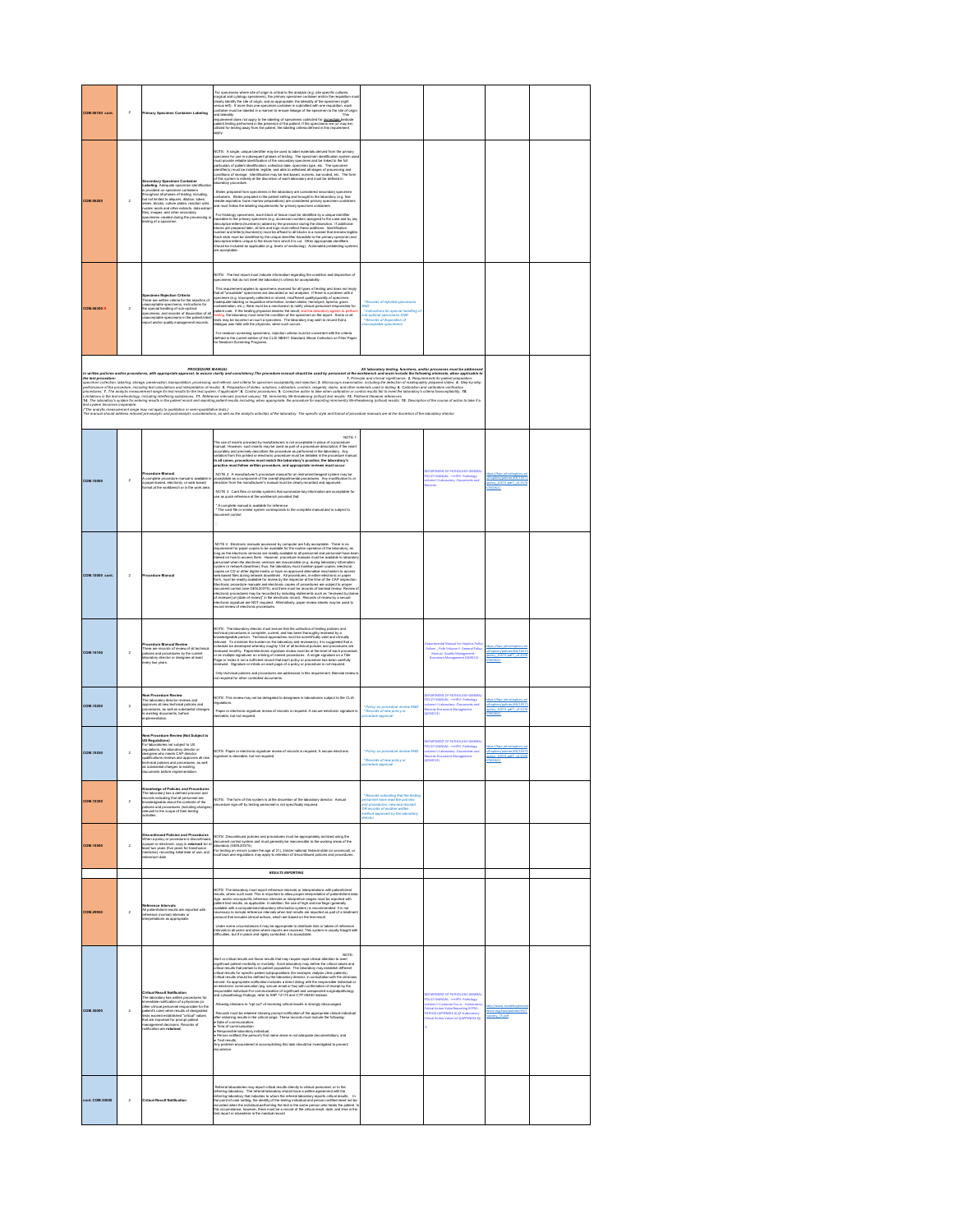| COM 05100 cont                                                                                                                                                                                                                                                                                                                                                                                                                                                                                                                                                                                                                                                                                       | $\,$ 2         | <b>Primary Spaciman Container Labeling</b>                                                                                                                                                                                                                                                                                                                                                                                                                                              | For specimens where also of origin is critical to the analysis (e.g., site specific cultures,<br>surgical and cytology speciments), the primary specimen contains and/or the requisition experiments<br>visualy identify the site of<br>container mu<br>and laterally.<br>This<br>requirement does not apply to the labeling of specimens collected for immediate bedside<br>patient texting performed in the presence of the patient. If the specimens are (or may be)<br>utilized for testing away from the patient, the labeling criteria defined in this requirement<br>pply.                                                                                                                                                                                                                                                                                                                                                                                                                                                                                                                                                                                                                                                                                                                                                                                                                                                                                                                       |                                                                                                                                                                                     |                                                                                                                                                                                           |                                                                                              |  |
|------------------------------------------------------------------------------------------------------------------------------------------------------------------------------------------------------------------------------------------------------------------------------------------------------------------------------------------------------------------------------------------------------------------------------------------------------------------------------------------------------------------------------------------------------------------------------------------------------------------------------------------------------------------------------------------------------|----------------|-----------------------------------------------------------------------------------------------------------------------------------------------------------------------------------------------------------------------------------------------------------------------------------------------------------------------------------------------------------------------------------------------------------------------------------------------------------------------------------------|---------------------------------------------------------------------------------------------------------------------------------------------------------------------------------------------------------------------------------------------------------------------------------------------------------------------------------------------------------------------------------------------------------------------------------------------------------------------------------------------------------------------------------------------------------------------------------------------------------------------------------------------------------------------------------------------------------------------------------------------------------------------------------------------------------------------------------------------------------------------------------------------------------------------------------------------------------------------------------------------------------------------------------------------------------------------------------------------------------------------------------------------------------------------------------------------------------------------------------------------------------------------------------------------------------------------------------------------------------------------------------------------------------------------------------------------------------------------------------------------------------|-------------------------------------------------------------------------------------------------------------------------------------------------------------------------------------|-------------------------------------------------------------------------------------------------------------------------------------------------------------------------------------------|----------------------------------------------------------------------------------------------|--|
| COM.06200                                                                                                                                                                                                                                                                                                                                                                                                                                                                                                                                                                                                                                                                                            | $\bar{2}$      | <b>Secondary Specimen Containe<br/>Labeling</b> Adequate specimen ide<br>is provided on specimen container<br>throughout all phases of testing, in<br>an<br>Itti<br>Yoluding,<br>throughout all phases of testing, includin<br>but not limited to aliquots, dilution, tubes<br>lides, blocks, culture plates, reaction units<br>nucleic acids and other extracts, data extra<br>files, images, and other secondary<br>specimens created during the processing o<br>sting of a specimen. | NOTE: A single, unique identifier may be used to label materials derived from the primary<br>NOTE: A straight, charge a straight and the second straight and contained contained by the main straight and the secondary position of the secondary of the secondary of the secondary of the secondary of the secondary of t<br>Slides prepared from specimens in the laboratory are considered secondary<br>comita presperse trom spectrum in in prise estate y and consistence secondly spectrum.<br>containers. Sliden prepared in the palent setting and brought to the laboratory (e.g. fine<br>needle aspiralizin, bone marrow preparations<br>For histology specimens, each block of tissue must be identified by a unique identifier<br>"Porthology papermure, usin monoir mass manus in each state of the case and by any controlled to the primary spectrum (e.g. accession number) stategree to discuss the primary spectrum (e.g. or the case of the case of the<br>ini acceptable.                                                                                                                                                                                                                                                                                                                                                                                                                                                                                                           |                                                                                                                                                                                     |                                                                                                                                                                                           |                                                                                              |  |
| <b>COM.06300 R</b>                                                                                                                                                                                                                                                                                                                                                                                                                                                                                                                                                                                                                                                                                   | $\bar{2}$      | Specimen Rejection Criteria<br>There are written criteria for the rejection of<br>unaccoptable specimens, instructions for<br>the special handling of sub-optimal<br>specimens, and records of disposition of all<br>.<br>Inscorptable specimens in the patienticlies<br>report and/or quality management records.                                                                                                                                                                      | NOTE: The test report must indicate information regarding the condition and dispos<br>specimens that do not meet the laboratory's criteria for acceptability.<br>This requirement applies to specimens recolved for all types of testing and does not imply that if "would be " and the control of the control of the specimens when the procedure of the control of the control of the contro<br>dialogue was held with the physician, when such occurs.<br>For newborn screening specimens, rejection criteria must be consistent with the criteria<br>defined in the current edition of the CLSI NBS01 Standard, Blood Collection on Filter Paper<br>for Newborn Screening Programs.                                                                                                                                                                                                                                                                                                                                                                                                                                                                                                                                                                                                                                                                                                                                                                                                                 | tros of rejected speci-<br>* Instructions for search! handler<br>ub-optimal specimens AND<br>* Records of disposition of<br>sens AND<br>acceptable specimens                        |                                                                                                                                                                                           |                                                                                              |  |
| in written policies and/or procedures, with appropriate approval, to assure clarity and consistency. The procedure manual should be used by personnel at the workbench and must include the following elements, when applicabl<br>awas and a statement of the state of the state of the state of the state of the state of the state of the state of the state of the state of the state of the state of the state of the state of the state of the state of the<br>режимся нами в совмести политической политической политической состоительной и политической политической полити<br>реакции 7. То выре выводом политической политической политической реальных совмествами политической политичес |                |                                                                                                                                                                                                                                                                                                                                                                                                                                                                                         |                                                                                                                                                                                                                                                                                                                                                                                                                                                                                                                                                                                                                                                                                                                                                                                                                                                                                                                                                                                                                                                                                                                                                                                                                                                                                                                                                                                                                                                                                                         |                                                                                                                                                                                     |                                                                                                                                                                                           |                                                                                              |  |
| COM.10000                                                                                                                                                                                                                                                                                                                                                                                                                                                                                                                                                                                                                                                                                            | $\overline{2}$ | Procedure Manual<br>complete procedure manual is available<br>a paper-based, electronic, or web-based                                                                                                                                                                                                                                                                                                                                                                                   | NOTE 1<br>The use of inserts provided by manufacturers is not acceptable in place of a procedure<br>manual. However, such inserts may be used as part of a procedure description, if the insert<br>accurately and precisely describes the proc<br>In all cases, procedures must match the laboratory's practice, the laboratory's<br>practice must follow written procedure, and appropriate reviews must occur.<br>NOTE 2: A manufacturer's procedure manual for an instrument/wagent system may be<br>acceptable as a component of the overall departmental procedures. Any modification to or<br>deviation from the manufacturer's manual must be cle<br>NOTE 3: Card files or similar systems that summarize<br>ize key inform<br>* A complete manual is available for reference<br>* The card file or similar system corresponds to the complete manual and is subject to                                                                                                                                                                                                                                                                                                                                                                                                                                                                                                                                                                                                                          |                                                                                                                                                                                     | <b>EPARTMENT OF PATHOLOGY GENERAL</b><br><b>OUCY MANUAL: - HIPO- Pathology</b><br>slume II-Laboratory -Documents and                                                                      | tex://hoo.ichm.hook<br>yhopkins/policies/68/1057.<br> policy_10572.pdf?_=0.3371<br>1621      |  |
| COM.10000 cont                                                                                                                                                                                                                                                                                                                                                                                                                                                                                                                                                                                                                                                                                       | $\bar{2}$      | Procedure Ma                                                                                                                                                                                                                                                                                                                                                                                                                                                                            | NOTE 4: Electronic ma<br>Electronic manuals accessed by computer are fully acceptable. There is no<br>long as the electronic versions are readily available to all personnel and personnel have be<br>ed on how to access them. However, procedure manuals must be available to laborator<br>New of the two access than Theorem (procedure matrix) may be the statistical polaristic procedure points of the statistical points of the statistical points of the statistical points of the statistical points of the stati                                                                                                                                                                                                                                                                                                                                                                                                                                                                                                                                                                                                                                                                                                                                                                                                                                                                                                                                                                              |                                                                                                                                                                                     |                                                                                                                                                                                           |                                                                                              |  |
| <b>COM.10100</b>                                                                                                                                                                                                                                                                                                                                                                                                                                                                                                                                                                                                                                                                                     | $\overline{2}$ | Procedure Manual Review<br>There are records of review of all technical<br>policies and procedures by the current<br>laboratory director or designee at least<br>every two years.                                                                                                                                                                                                                                                                                                       | NOTE: The laboratory director must ensure that the collection of testing policies and<br>volves. I ne secondo provesor interestes considerates and secondo consequence of the secondo-<br>technical procedures is complete, current, and has been thoroughly reviewed by a<br>historical person. Technical approaches must be<br>eviewed monthly. Paperlelectronic signature review must be at the level of each procedur<br>or as multiple signatures on a fating of named procedures. A single signature on a Title<br>Page or Index is not a sufficient record that each policy or procedure has been carefully<br>reviewed. Signature or initials on each pag<br>Only technical policies and procedures are addressed in this requirement. Biennial review<br>sined for others                                                                                                                                                                                                                                                                                                                                                                                                                                                                                                                                                                                                                                                                                                                      |                                                                                                                                                                                     | ital Manual for Hopkins Polici<br><b>Critine: Path Volume II General Policy<br/>Manual-Quality Management -<br/>Document Management (QM013)</b>                                           | tos://hoo.ichnsh<br>Acolons footcom/68/10572<br>edcy 10572.ed7 +0.1170<br>7600521            |  |
| COM.10200                                                                                                                                                                                                                                                                                                                                                                                                                                                                                                                                                                                                                                                                                            | $\overline{2}$ | ew Procedure Review<br>The laboratory director reviews and<br>approves all new technical policies and<br>procedures, as well as substantial changes<br>to existing documents, before<br>station.                                                                                                                                                                                                                                                                                        | NOTE: This review may not be delegated to designess in laboratories subject to the CLIA<br>Paper or electronic signature review of records is required. A secure electronic signature is<br>desirable, but not required.                                                                                                                                                                                                                                                                                                                                                                                                                                                                                                                                                                                                                                                                                                                                                                                                                                                                                                                                                                                                                                                                                                                                                                                                                                                                                | Policy on procedure review AND<br>* Records of new policy or                                                                                                                        | EPARTMENT OF PATHOLOGY GENERAL<br><b>OUCY MANUAL: - HIPO- Pathology</b><br>slume II-Laboratory -Documents and<br>cords-Document Management<br>(E10MOA                                     | ttps://hpp.ightshopkins.es<br>hookins/policies/68/10572<br>soley 10572.od? +0.337<br>7600521 |  |
| COM.10250                                                                                                                                                                                                                                                                                                                                                                                                                                                                                                                                                                                                                                                                                            | $\overline{2}$ | w Procedure Review (Not Subject to<br>US Regulations)<br>For laboratories not subject to US<br>regulations, the laboratory director<br>designee who meets CAP director<br>qualifications reviews and approves all new<br>yammamore reverse and procedures, as well<br>technical policies and procedures, as well<br>documents before implementation.                                                                                                                                    | NOTE: Paper or electronic signature review of records is required. A secure electronic<br>signature is desirable, but not required.                                                                                                                                                                                                                                                                                                                                                                                                                                                                                                                                                                                                                                                                                                                                                                                                                                                                                                                                                                                                                                                                                                                                                                                                                                                                                                                                                                     | Policy on procedure review AND<br>* Records of new policy or<br>re apj                                                                                                              | <b>EPARTMENT OF PATHOLOGY GENERAL</b><br><b>OUCY MANUAL: - HIPO- Pathology</b><br>olume II-Laboratory -Documents and<br>ecords-Document Management<br>(E20MOL)                            | to://hoo.ichrahookins.e<br>Acolons footcom/68/10572<br>edcy 10572.ed? +0.117<br>7600521      |  |
| <b>COM.10300</b>                                                                                                                                                                                                                                                                                                                                                                                                                                                                                                                                                                                                                                                                                     | $\overline{2}$ | Knowledge of Policies and Procedures<br>The laboratory has a defined process and<br>excords indicating that all personnel are<br>knowledgeable about the contents of the<br>policies and procedures (including change<br>relevant to the scope of their teating<br>activities.                                                                                                                                                                                                          | NOTE: The form of this system is at the discretion of the laboratory director. Annual<br>ure sign-off by testing personnel is not specifically required                                                                                                                                                                                                                                                                                                                                                                                                                                                                                                                                                                                                                                                                                                                                                                                                                                                                                                                                                                                                                                                                                                                                                                                                                                                                                                                                                 | * Records indicating that the testing<br>tersonnel have read the policies<br>ind procedures, new and revised,<br>DR records of another written<br>nethod approved by the laboratory |                                                                                                                                                                                           |                                                                                              |  |
| <b>COM.10500</b>                                                                                                                                                                                                                                                                                                                                                                                                                                                                                                                                                                                                                                                                                     | $\overline{2}$ | tinued Policies and Procedures<br>Discountinue of proceedure is discontinued<br>a paper or electronic copy is redained for a<br>a paper or electronic copy is redained for a<br>least two years (five years for transfizaion<br>medicine), recording initial date of use, an                                                                                                                                                                                                            | NOTE: Discontinued policies and procedures must be appropriately archived using the<br>document control system and must generally be inscreasible to the working areas of the action of the short of<br>ulcosinory (GEN 103115), od                                                                                                                                                                                                                                                                                                                                                                                                                                                                                                                                                                                                                                                                                                                                                                                                                                                                                                                                                                                                                                                                                                                                                                                                                                                                     |                                                                                                                                                                                     |                                                                                                                                                                                           |                                                                                              |  |
|                                                                                                                                                                                                                                                                                                                                                                                                                                                                                                                                                                                                                                                                                                      |                |                                                                                                                                                                                                                                                                                                                                                                                                                                                                                         | RESULTS REPORTING                                                                                                                                                                                                                                                                                                                                                                                                                                                                                                                                                                                                                                                                                                                                                                                                                                                                                                                                                                                                                                                                                                                                                                                                                                                                                                                                                                                                                                                                                       |                                                                                                                                                                                     |                                                                                                                                                                                           |                                                                                              |  |
| <b>COM.29950</b>                                                                                                                                                                                                                                                                                                                                                                                                                                                                                                                                                                                                                                                                                     | $\overline{2}$ | teference Intervals<br>All patient/client results are reported with<br>reference (normal) intervals or<br>nterpretations as appropriate.                                                                                                                                                                                                                                                                                                                                                | NOTE: The laboratory must report reference infervals or interpretations with patienticises<br>results, where such east. This is reported to also propose related to refer production of patient<br>patient text results, as applicab<br>rotocol that includes clinical actions, which are based on the test result<br>. Under some circumstences it may be appropriate to distribute lists or tables of reference<br>intervals to all users and sites where reports are received. This system is usually fraught with<br>difficulties, but if in place and                                                                                                                                                                                                                                                                                                                                                                                                                                                                                                                                                                                                                                                                                                                                                                                                                                                                                                                                              |                                                                                                                                                                                     |                                                                                                                                                                                           |                                                                                              |  |
| COM.30000                                                                                                                                                                                                                                                                                                                                                                                                                                                                                                                                                                                                                                                                                            | $\overline{2}$ | Critical Result Notification<br>The laboratory has writen procedures<br>immediate notification of a physician (<br>other clinical personnel responsible fo<br>patient's care) when results of designa<br>patient's care) when results of desi<br>collatgazza ta Konomissa, Luccio eta Santo<br>Eskiar "lecilita" barialdatea boscou etea<br>that are important for prompt patie<br>.<br>nt decisi<br>s. Records of<br>management decisions.<br>notification are <b>retained</b>         | NOTE:<br>Nert or critical results are those results that may require rapid clinical attention to as<br>evers on a structure measure and those installation that have performed the contract anomic or or well and the<br>significant patient monitolity or mortality. Each laboratory may define the critical values and<br>critical result<br>critical results for specific patient subpopulations (for example, dialysis clinic patients).<br>Critical results should be defined by the laboratory director, in consultation with the clinicians<br>served. An appropriate notification includes a direct dialog with the responsible individual or<br>an electronic communication (eg, secure email or fax) with confirmation of receipt by the<br>esponsible individual.For communication of significant and unexpected surgicalpathology<br>ind cytopathology findings, refer to ANP.12175 and CYP.08450 instead.<br>Allowing clinicians to "opt out" of receiving critical results is strongly discou<br>Records must be retained showing prompt notification of the appropriate circical individual<br>after obtaining results in the critical range. These records must include the following:<br>• Dime of communication<br>• Time of communi<br>· Responsible laboratory individual<br>. Person notified (the person's first name alone is not adequate documentation), and<br>• Text results.<br>Any problem en<br>ered in accomplishing this task should be investigated to prevent<br>ince |                                                                                                                                                                                     | EPARTMENT OF PATHOLOGY GENERA<br><b>DUCY MANUAL:</b><br>Il-Customer Focus - Kab<br><b><i><u>Industrial Value</u></i></b><br>he licew-<br>AT0321 (APPENDIX A) // +La<br><b>POTATIVE AT</b> | cine.org/hoo/colides/33<br>colicy 75 ad!                                                     |  |
| ont. COM.30000                                                                                                                                                                                                                                                                                                                                                                                                                                                                                                                                                                                                                                                                                       | $\bar{2}$      | Critical Result Notificatio                                                                                                                                                                                                                                                                                                                                                                                                                                                             | Referral laboratories may report critical results directly to clinical personnel, or to the<br>When<br>the absolution of the project discussion of the control of the control of<br>the projection of the control of the control of the control of the<br>projection of the control of the control of the control of the control of<br>t                                                                                                                                                                                                                                                                                                                                                                                                                                                                                                                                                                                                                                                                                                                                                                                                                                                                                                                                                                                                                                                                                                                                                                |                                                                                                                                                                                     |                                                                                                                                                                                           |                                                                                              |  |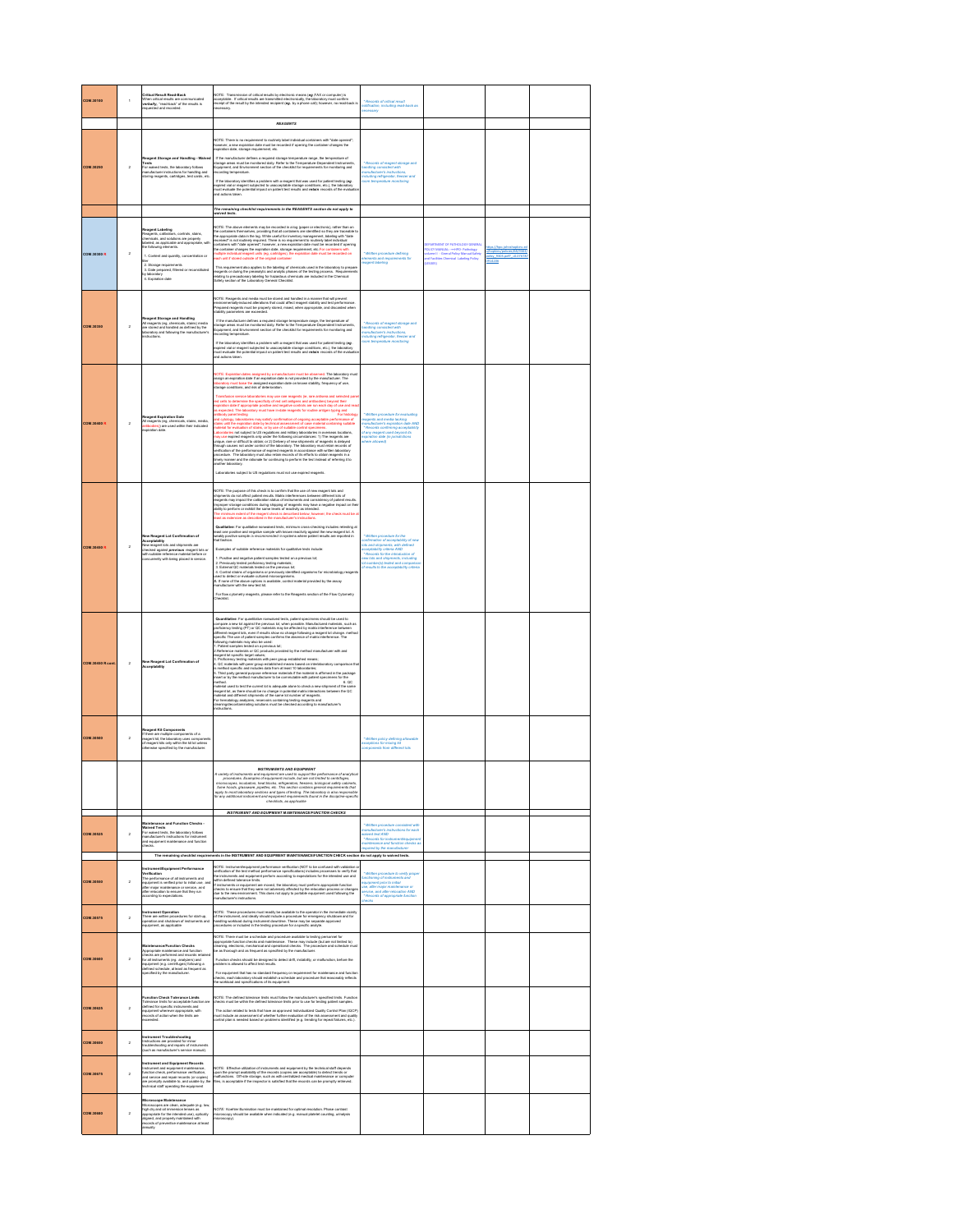| <b>COM.30100</b>        | f.             | <b>Critical Result Read-Back</b><br>When critical results are communicated<br>When critical results are communicated<br>requested and recorded.                                                                                                                                                                                                       | NOTE: Transmission of critical results by electronic means (eg /FAX or computer) is<br>acceptable. If critical results are transmitted electronically, the laboratory must confirm<br>receipt of the result by the intended recipien<br>ecessary.<br><b>REAGENTS</b>                                                                                                                                                                                                                                                                                                                                                                                                                                                                                                                                                                                                                                                                                                                                                                                                                                                                                                                                                                                                                                                                                                                                                                                                                                                                                                                  | * Records of critical result<br>offication, including read-back as<br>ecessary                                                                                                                                                                                                                                                  |                                                                                                                                                                                       |  |
|-------------------------|----------------|-------------------------------------------------------------------------------------------------------------------------------------------------------------------------------------------------------------------------------------------------------------------------------------------------------------------------------------------------------|---------------------------------------------------------------------------------------------------------------------------------------------------------------------------------------------------------------------------------------------------------------------------------------------------------------------------------------------------------------------------------------------------------------------------------------------------------------------------------------------------------------------------------------------------------------------------------------------------------------------------------------------------------------------------------------------------------------------------------------------------------------------------------------------------------------------------------------------------------------------------------------------------------------------------------------------------------------------------------------------------------------------------------------------------------------------------------------------------------------------------------------------------------------------------------------------------------------------------------------------------------------------------------------------------------------------------------------------------------------------------------------------------------------------------------------------------------------------------------------------------------------------------------------------------------------------------------------|---------------------------------------------------------------------------------------------------------------------------------------------------------------------------------------------------------------------------------------------------------------------------------------------------------------------------------|---------------------------------------------------------------------------------------------------------------------------------------------------------------------------------------|--|
| COM.30250               | $\overline{2}$ | Reagent Storage<br>Tests<br>For waived tests, the laboratory follows<br>manufacturer instructions for handling a<br>storing reagents, cathidges, lest cards,                                                                                                                                                                                          | NOTE: There is no requirement to routinely label individual containers with "date operard";<br>however, a new expiration date must be recorded if opering the container changes the<br>expiration date, storage requirement, etc.<br>If the manufacturer defines a required storage temperature range, the temperature of<br>storage areas must be monitored daily. Refer to the Temperature-Dependent Instrument<br>Equipment, and Environment section of the checklas f<br>If the laboratory identifies a problem with a reagent that was used for patient testing (eg.<br>expired vial or reagent subjected to unecceptable storage conditions, etc.), the laboratory<br>must evaluate the potential impact on patient test results and retain records of the evalu<br>and actions taken<br>The remaining checklist requirements in the REAGENTS section do not apply to<br>gived tests.                                                                                                                                                                                                                                                                                                                                                                                                                                                                                                                                                                                                                                                                                           | * Records of reagent storage<br>lendling consistent with<br>nenufacturer's instructions,<br>cluding refrigerator, freezer and                                                                                                                                                                                                   |                                                                                                                                                                                       |  |
| <b>COM.30300 R</b>      | $\overline{2}$ | <b>Reagent Labeling</b><br>Reagents, calibrators, controls, stains,<br>chemicals, and solutions are properly<br>labeled, as applicable and appropriate, with<br>the following elements.<br>1. Content and quantity, concentration or<br>2. Storage requirements<br>3. Date prepared, filtered or reconstituted<br>by laboratory<br>4. Expiration date | NOTE: The above elements may be recorded in a log (paper or electronic) rather then on<br>the contents of metallicity providing the contention in the distinguishing was the content of<br>model in our conduct in the conduct spac<br>This requirement also applies to the labeling of chemicals used in the laboratory to prepar<br>reagents or during the preanslytic and analytic phases of the testing process. Requirer<br>relating to precautionary labeling for hazardous chemicals are included in the Chemical<br>.<br>arbi<br>Safety section of the Laboratory General Checklist                                                                                                                                                                                                                                                                                                                                                                                                                                                                                                                                                                                                                                                                                                                                                                                                                                                                                                                                                                                           | * Written procedure defining<br>Ilements and requirements for<br>recent lebeling                                                                                                                                                                                                                                                | PARTMENT OF PATHOLOGY GENERA<br>DEPARTMENT OF PATROLUGH GENER<br>OLICY MANUAL: -==11PO- Pathology<br>iolume II - Greral Policy Manual:Safe<br>ind Facilities Chemical Labeling Policy |  |
| COM.30350               | $\bar{2}$      | Reagent Storage and Handling<br>All reagents (eg, chemicals, stains) media<br>are stored and handled as defined by the<br>laboratory and following the manufacturer's<br>instructions.                                                                                                                                                                | NOTE: Reagents and media must be stowd and handled in a manner that will prevent<br>emironmentally-induced alterations that could affect reagent stability and test performance.<br>Prepared teagents must be properly stored, mixed<br>If the manufacturer defines a required storage temperature range, the temperature of<br>storage areas must be monitored daily. Refer to the Temperature-Dependent Instrument<br>Equipment, and Environment section of the checklist<br>cording temperature.<br>If the laboratory identifies a problem with a neagent that was used for patient testing ( <b>eg</b><br>supived vial or reagent subjected to unecosptable storage conditions, etc.), the laboratory<br>must evaluate the potential impact o                                                                                                                                                                                                                                                                                                                                                                                                                                                                                                                                                                                                                                                                                                                                                                                                                                     | * Records of reagent storage and<br>endling consistent with<br>nenufacturer's instructions<br>cluding refrigerator, freezer and                                                                                                                                                                                                 |                                                                                                                                                                                       |  |
| COM 30400 B             | $\overline{2}$ | Reagent Expiration Date<br>All reagents (eg, chemicals, stains, media,<br>48 reagents (eg, chemicals, stains, media,<br><mark>antibodies))</mark> are used within their indicated<br>axpiration date.                                                                                                                                                 | NOTE: Expiration dates assigned by a manufacturer must be observed. The laboratory must<br>assign an expiration date if an expiration date is not provided by the manufacturer. The laboratory must been the assigned expiration date on known stability, frequency of use,<br>laboratory must been the assigned expiration<br>ion service laboratories may use rare reagents (ie, rare antis<br>l'innerfication service laborationne may use mer una perse mui se concellato del proto their<br>et cella lo chiarmine the specificity of red cell antigens and antibodies) beyond their<br>episition date if appropriate positive an<br>The laboratory must new environment of origining acceptable performation of engineers of containing<br>abonatories may satisfy confirmation of origining acceptable performation<br>yssogy, secolaume may easily constitution of case material containing suitable<br>until the excitation date by technical assessment of case material containing suitable<br>sterial for eve<br>.<br>revaluation of stains, or by use of suitable control specimens.<br>as not subject to US regulations and military laboratories in overseas locations,<br>wy use expired reagents only under the following circumstances: 1) The reagents are<br>may as we see of distinct and contains the term of the state and the state of the state of the state of the state of the state of the state of the state of the state of the state of the state of the state of the state of<br>Laboratories subject to US regulations must not use expired reagents. | Mitten procedure for evaluating<br>gents and media lacking<br>nufacturer's expiration date AND<br>* Records confirming acceptability<br>of any reagent used beyond its<br>spiration date de jurisdictions<br>hare allowed)                                                                                                      |                                                                                                                                                                                       |  |
| <b>COM.30450 R</b>      | $\bar{2}$      | <b>Jew Reagent Lot Confirmation of</b><br>Acceptability<br>New reagent lots and shipments are<br>checked against <b>previous</b> reagent lots<br>with suitable reference material before or<br>nt into m<br>urrently with being placed in service                                                                                                     | NOTE: The purpose of this check is to confirm that the use of new reagent lots and<br>shipmentis do not affect patient results. Matrix interferences between different lots of<br>reagents may impact the calibration status of instruments and consistency of patient results.<br>Improper storage conditions during shipping of reagents may have a negative impact on the<br>ability to perform or exhibit the same levels of reactivity as intended.<br>e minimum extent of the reagent check is described below; however, the check must be<br>at as extensive as described in the manufacturer's instructions.<br>Qualitative: For qualitative nonwaived tests, minimum cross-checking includes retesting at<br>least one positive and negative sample with known reactivity against the new reagent lot. A<br>weakly positive sample is recommended i<br><b>vealdy</b> posi<br>hat fashion<br>Examples of suitable reference materials for qualitative tests include<br>1. Positive and negative patient samples tested on a previous lot;<br>2. Previously tested proficiency testing materials<br>$\mathcal{L}$ , the womany issues protesters y surany mass and $\mathcal{L}$ . The state of the state of the state of the protein and proteinal comparation of the state of the state of the state of the state of the state of the state<br>For flow cytometry reagents, please refer to the Reagents section of the Flow Cytometry                                                                                                                                       | * Written procedure for the<br>confirmation of acceptability of ne<br>lots and shipments, with defined<br>acceptability criteria AND<br>completed in the catalogics of<br>* Records for the introduction of<br>lew lots and shipments, including<br>of number(s) tested and compari<br>of reaults to the acceptebility criteria |                                                                                                                                                                                       |  |
| <b>COM.30450 R cont</b> | $\overline{2}$ | New Reagent Lot Confirmation of<br>Acceptability                                                                                                                                                                                                                                                                                                      | Quantitative: For quantitative nonwaived tests, patient specimens should be used to<br>compare a new lot against the previous lot, when possible. Manufactured materials, such as<br>proficiency testing (PT) or QC materials may be affected by matrix interference between<br>positionry interior ( $\mathbb{R}^n$ ) as OC mutuals may be differently materials the material materials of the states of the state of the state of the state of the state of the state of the state of the state of the state of t<br>or mercourspectrum and monocours communications are material in the material is affermed in the package<br>Entert or by the method manufacturer to be commutable with patient specimens for the package<br>insert o<br>method<br>6.00<br>o. ب.<br>material used to test the current lot is adequate alone to check a new shipment of the same<br>reagent lot, as there alroad be no change in potential matrix interactions between the QC<br>material and different shipments of the alreat sit number of seapers.<br>Cor hematology analyzers, reservoirs containing besting neaper                                                                                                                                                                                                                                                                                                                                                                                                                                                                          |                                                                                                                                                                                                                                                                                                                                 |                                                                                                                                                                                       |  |
| <b>COM.30500</b>        | $\,$ 2         | Reagent Kit Components<br>If there are multiple components of a<br>reagent kit, the laboratory uses components<br>of reagent kits only within the kit lot unicals<br>of reagent kits only within the kit lot unicals<br>of renvise specified                                                                                                          |                                                                                                                                                                                                                                                                                                                                                                                                                                                                                                                                                                                                                                                                                                                                                                                                                                                                                                                                                                                                                                                                                                                                                                                                                                                                                                                                                                                                                                                                                                                                                                                       | * Written policy defining allowable<br>sceptions for mixing kit<br>sares from 16th                                                                                                                                                                                                                                              |                                                                                                                                                                                       |  |
|                         |                |                                                                                                                                                                                                                                                                                                                                                       | <b>INSTRUMENTS AND EQUIPMENT</b><br>A variety of insti<br>tabuments and equipment are used to support the perform<br>res. Examples of equipment include, but are not limited to<br>i, incubators, heat blocks, refrigerators, freezers. biolivrine<br>ence of analytic<br>ited to ce<br>microscopes, incubators, heat blocks, refrigerators, freezers, biological safety cabinets,<br>furne hoods, glassware, pipettes, etc. This section contains general requirements that<br>spoty to most laboratory sections and spee o<br>for any additional instrument and equipment requirement<br>checklists, as applicable<br>nts found in the discipline specifi                                                                                                                                                                                                                                                                                                                                                                                                                                                                                                                                                                                                                                                                                                                                                                                                                                                                                                                           |                                                                                                                                                                                                                                                                                                                                 |                                                                                                                                                                                       |  |
| <b>COM.30525</b>        | $\overline{2}$ | Maintenance and Function Checks -<br>Maintenance and Function Checks -<br>Walved Tests<br>For waived tests, the laboratory follows<br>manufacturer's instructions for instrument<br>and equipment maintenance and function<br>checks.                                                                                                                 | INSTRUMENT AND EQUIPMENT MAINTENANCE/FUNCTION CHECKS<br>The remaining checklist requirements in the INSTRUMENT AND EQUIPMENT MAINTENANCE/FUNCTION CHECK section do not apply to waived tests.                                                                                                                                                                                                                                                                                                                                                                                                                                                                                                                                                                                                                                                                                                                                                                                                                                                                                                                                                                                                                                                                                                                                                                                                                                                                                                                                                                                         | * Military Arry<br>menufacturer's in<br>menufacturer's in<br>Mecords for ins<br>instructions for each<br><b>Averaged Son</b><br>intenance and function checks as<br>cuired by the manufacturer                                                                                                                                  |                                                                                                                                                                                       |  |
| <b>COM.30550</b>        | $\,$ 2 $\,$    | sentEquipment Performance<br>.<br>The performance of all instruments and<br>equipment is verfied prior to initial use,<br>after major maintenance or service, and<br>after relocation to ensure that they run<br>according to expectations.                                                                                                           | NOTE: Instrument/equipment performance verification (NOT to be confused with validation<br>$\sim$ . In measurement performance specifications) includes processes to verify that well-adopted into the state method performance specifications) includes processes to verify that the interacted and equipment perform acc<br>If instruments or equipment are moved, the laboratory must perform appropriate function<br>checks to ensure that they were not adversely affected by the relocation process or changes<br>due to the new environment. This does not apply to portable equipment used following the<br>lue to the new environment.<br>nerufacturer's instructions.                                                                                                                                                                                                                                                                                                                                                                                                                                                                                                                                                                                                                                                                                                                                                                                                                                                                                                       | Written procedure to verify pro<br><b>anctioning of instrument</b><br>quipment prior to initial<br>nte and<br>de, after major maintenance<br>ervice, and after relocation AND<br>* Records of appropriate function<br>icka                                                                                                      |                                                                                                                                                                                       |  |
| <b>COM.30575</b>        | $\overline{2}$ | ment Operation<br>There are written procedures for start-up,<br>rperation and shutdown of instruments and<br>rquipment, as applicable                                                                                                                                                                                                                 | NOTE: These procedures must readily be available to the operator in the immediate vicinity<br>of the instrument, and ideally shootd include a procedure for emergency atutidown and for<br>handling workload during instrument downt                                                                                                                                                                                                                                                                                                                                                                                                                                                                                                                                                                                                                                                                                                                                                                                                                                                                                                                                                                                                                                                                                                                                                                                                                                                                                                                                                  |                                                                                                                                                                                                                                                                                                                                 |                                                                                                                                                                                       |  |
| <b>COM.30600</b>        | $\bar{2}$      | <b>Maintenance/Function Checks</b><br>Annoncéste maintenance and function<br>checks are performed and records reta<br>for all instruments (eg. analyzers) and<br>equipment (e.g. centrifuges) following a<br>defined schedule, at least as frequent as<br>specified by the manufacturer.                                                              | <b>NOTE: There must be a schedule and procedure available to testing personnel for<br/>appropriate function checks and maintenance. These may include (but are not limite<br/>income advances monitorized and onerdinal checks. The proc</b><br>vezza, come mais se a acresua ara processure available lo teatro;<br>appropriate (nacion checke and maintenance. These may include (t<br>clearing, electronic, mechanical and operational checke. The proces<br>be as thorough and as f<br>ted to)<br>Function checks should be designed to detect drift, instability, or malfunction, before the<br>roblem is allowed to affect test results.<br>.<br>For equipment that has no standard frequency or requirement for maintenance and functio<br>checks, each laboratory should establish a schedule and procedure that reasonably reflects<br>the workload and specifications of its eq                                                                                                                                                                                                                                                                                                                                                                                                                                                                                                                                                                                                                                                                                             |                                                                                                                                                                                                                                                                                                                                 |                                                                                                                                                                                       |  |
| <b>COM.30625</b>        | $\,$ 2 $\,$    | <b>Function Check Tolerance Limits</b><br>Tolerance limbs for acceptable function<br>Tolerance limbs for acceptable function<br>equipment wherever appropriate, with<br>records of action when the limits are<br>exceeded.                                                                                                                            | .<br>NOTE: The defined tolerance limits must follow the manufacturer's specified limits. Function<br>checks must be within the defined tolerance limits prior to use for texting patient samples.<br>The action related to tests that have an approved Individualized Quality Control Plan (IQCP)<br>must include an assessment of whether further evaluation of the risk assessment and quality<br>control plan is needed based on problems identified (e.g. trending for repeat failures, etc.).                                                                                                                                                                                                                                                                                                                                                                                                                                                                                                                                                                                                                                                                                                                                                                                                                                                                                                                                                                                                                                                                                    |                                                                                                                                                                                                                                                                                                                                 |                                                                                                                                                                                       |  |
| <b>COM.30650</b>        | $\overline{2}$ | Instrument Troubleshooting<br>Instructions are provided for minor<br>troubleshooting and repairs of instruments<br>(such as manufacturer's service manual).                                                                                                                                                                                           |                                                                                                                                                                                                                                                                                                                                                                                                                                                                                                                                                                                                                                                                                                                                                                                                                                                                                                                                                                                                                                                                                                                                                                                                                                                                                                                                                                                                                                                                                                                                                                                       |                                                                                                                                                                                                                                                                                                                                 |                                                                                                                                                                                       |  |
| <b>COM.30675</b>        | $\overline{2}$ | Instrument and Equipment Records<br>Instrument and equipment maintenance,<br>function check, performance welfication,<br>and service and repair records (or copies)<br>are promptly available to, and usable by, the<br>chrical staff operating the equipment                                                                                         | NOTE: Effective utilization of instruments and equipment by the bechrical staff depends<br>upon the prompt availability of the records (copies are acceptable) to delete themas or<br>malfunctions. Off-aite storage, such as with c                                                                                                                                                                                                                                                                                                                                                                                                                                                                                                                                                                                                                                                                                                                                                                                                                                                                                                                                                                                                                                                                                                                                                                                                                                                                                                                                                  |                                                                                                                                                                                                                                                                                                                                 |                                                                                                                                                                                       |  |
| <b>COM.30680</b>        | $\bar{2}$      | Microscope Maintenance<br>Microscope Matritenance<br>Vicroscopes are clean, adequate (e.g. low,<br>high dry and oil immersion lenses as<br>appropriate for the intended use), optically<br>aligned, and properly maintained with<br>records of preventive maintenance at least<br>mush                                                                | NOTE: Koshier illumination muat be maintained for optimal resolution. Phase contrast<br>microscopy should be available when indicated (e.g. manual platelet counting, urinalysis<br>microscopy).                                                                                                                                                                                                                                                                                                                                                                                                                                                                                                                                                                                                                                                                                                                                                                                                                                                                                                                                                                                                                                                                                                                                                                                                                                                                                                                                                                                      |                                                                                                                                                                                                                                                                                                                                 |                                                                                                                                                                                       |  |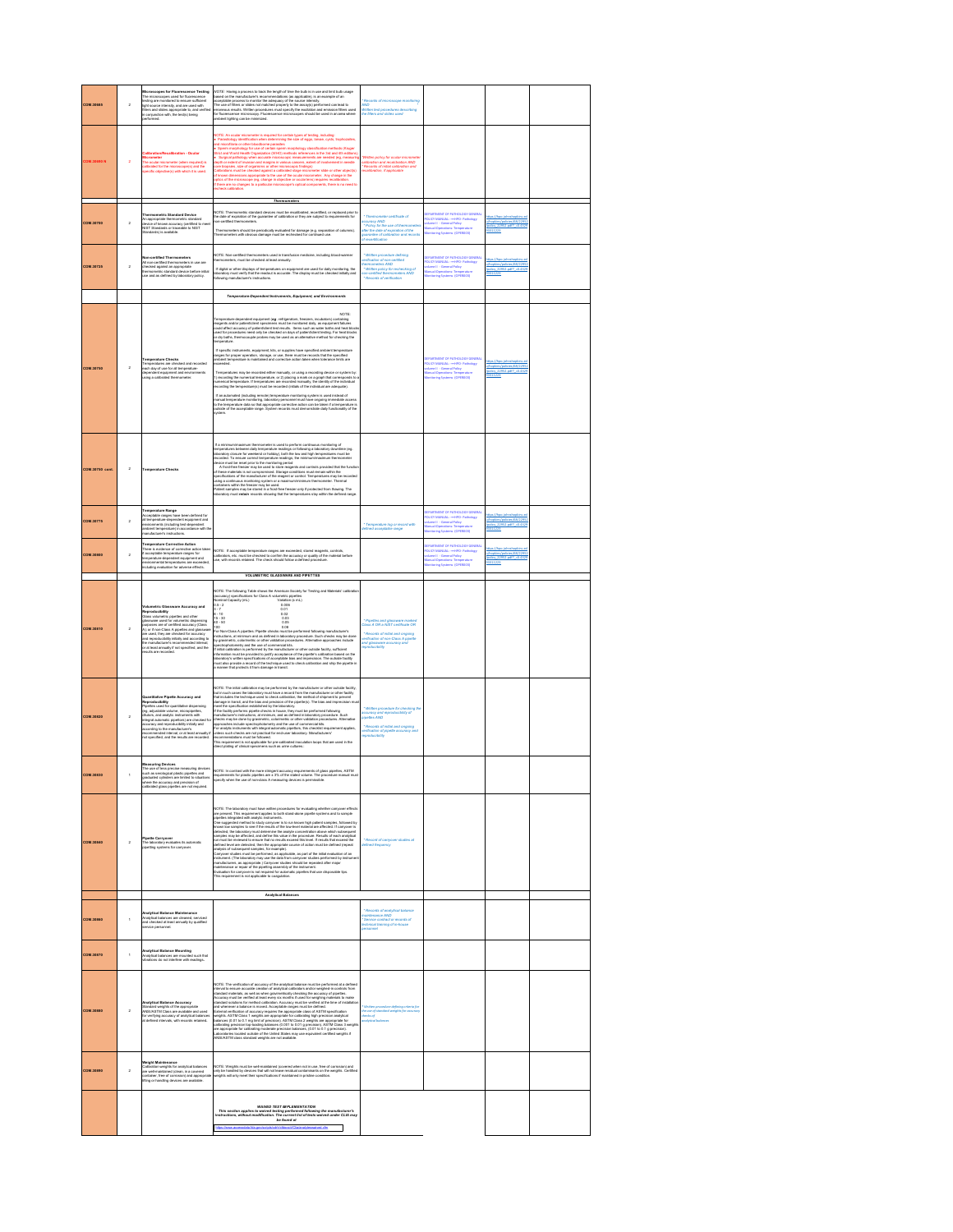| <b>COM.30685</b>       | $\bar{2}$      | Microscopes for Fluorescence Testing<br>The microscopes var vitameterical resting<br>The microscopes used for fluorescence<br>testing are monitored to ensure sufficient<br>light source intensity, and are used with<br>liters and slides appropriate to, and verifie<br>in conjunction with, the test(s) being                                                                                                         | NOTE: Having a process to track the length of time the bulb is in use and limit bulb usage<br>hissed on the manufacturer's recommendations (as annifolded) is an enterrole of an<br>VOTE : Neuron a processa la traca de la material de la lla esta una esta llenta de la comparación de la materia<br>La material de la material de la material de la material de la material de la material de la material de la<br>Th                                                                                                                                                                                                                                                                                                                                                                                                                                                                                                                                                                                                                                  | Records of microscope m<br>wo<br>Witten test procedures describing<br>he filters and slides used                                                                                                                    |                                                                                                                                                                                                                                |                                                                                      |  |
|------------------------|----------------|--------------------------------------------------------------------------------------------------------------------------------------------------------------------------------------------------------------------------------------------------------------------------------------------------------------------------------------------------------------------------------------------------------------------------|-----------------------------------------------------------------------------------------------------------------------------------------------------------------------------------------------------------------------------------------------------------------------------------------------------------------------------------------------------------------------------------------------------------------------------------------------------------------------------------------------------------------------------------------------------------------------------------------------------------------------------------------------------------------------------------------------------------------------------------------------------------------------------------------------------------------------------------------------------------------------------------------------------------------------------------------------------------------------------------------------------------------------------------------------------------|---------------------------------------------------------------------------------------------------------------------------------------------------------------------------------------------------------------------|--------------------------------------------------------------------------------------------------------------------------------------------------------------------------------------------------------------------------------|--------------------------------------------------------------------------------------|--|
| <b>COM SORRON</b>      | $\overline{2}$ | Micrometer<br>The ocular micrometer (when required) is<br>calibrated for the microscope(s) and the<br>alibrated for the microscope(s) and the<br>pecific objective(s) with which it is used.                                                                                                                                                                                                                             | $\begin{split} & \text{Re}(T_0, \mathcal{H}_0) \text{ is a constant in required for each type of length } \mathcal{H}_0 \\ & \text{of the order of the number of variables } \mathcal{H}_0 \\ & \text{of the order of the number of variables } \mathcal{H}_0 \\ & \text{of the number of variables } \mathcal{H}_0 \\ & \text{for } \mathcal{H}_0 \\ & \text{for } \mathcal{H}_0 \\ & \text{for } \mathcal{H}_0 \\ & \text{for } \mathcal{H}_0 \\ & \text{for } \mathcal{H}_0 \\ & \text{for } \mathcal{H}_0 \\ & \text{for } \mathcal{H}_0 \\ & \text{for } \mathcal{H}_0 \\ & \text$<br>ptics of the microscope (eg, change in objective or ocular lens) requires recalibr<br>there are no changes to a particular microscope's optical components, there is no need to<br>check calibration                                                                                                                                                                                                                                                           | Rennels of initial nethration and<br>calibration, if applicable                                                                                                                                                     |                                                                                                                                                                                                                                |                                                                                      |  |
| <b>COM.30700</b>       | $\bar{2}$      | <b>Thermometric Standard Device</b><br>An appropriate thermometric standard<br>device of lenown accuracy (certified to<br>NIST Standards or traceable to NIST<br>Standards) is available.<br>ed to me                                                                                                                                                                                                                    | Thermometers<br>NOTE: Thermometric standard devices must be recalibrated, recentified, or replaced prior to<br>the date of expiration of the guarantee of calibration or they are subject to requirements for<br>Thermometers should be periodically evaluated for demage (e.g. separation of columns).<br>Thermometers with obvious damage must be rechecked for continued use.                                                                                                                                                                                                                                                                                                                                                                                                                                                                                                                                                                                                                                                                          | * Thermometer certificate of<br>ccurecy AND<br>* Policy for the use of thermo<br>and you are use of thermometer<br>wher the date of expiration of the<br>quarentee of calibration and records<br>if recertification |                                                                                                                                                                                                                                | hapkins (policies /68/2295)<br>olcy 22952.odf7 +0.432<br>9311223                     |  |
| <b>COM.30725</b>       | $\bar{2}$      | Non-certified Thermometers<br>All non-certified thermometers in use are<br>checked against an appropriate<br>thermometric standard device before initial<br>zee and as defined by laboratory policy.                                                                                                                                                                                                                     | .<br>NOTE: Non-certified thermometers used in transfusion medicine, including blood-warm<br>thermometers, must be checked at least annually.<br>If digital or other displays of temperatures on equipment are used for daily monitoring, the<br>laboratory must verify that the readout is accurate. The display must be checked initially and<br>following manufacturer's instructi                                                                                                                                                                                                                                                                                                                                                                                                                                                                                                                                                                                                                                                                      | * Written procedure defini<br>enfication of non-certified<br>hermometers AND<br>* Written policy for recheck<br>centled m<br>eters AND<br>-<br>Records of verification                                              | <b>EPARTMENT OF PATHOLOGY GENERAL</b><br><b>QUEYMANUAL: - HIPO- Pathology</b><br>MICY MANUAL: Henexi<br>  Martiell - General Policy<br>  Henry Temperatu<br>must Or<br><b>Operations: Temperature</b><br>Ing Systems (OPERDO3) | Propising foot clien /68/2295<br>olcy 22952.od? +0.432<br>0011223                    |  |
|                        |                |                                                                                                                                                                                                                                                                                                                                                                                                                          | Temperature-Dependent Instruments, Equipment, and Environments                                                                                                                                                                                                                                                                                                                                                                                                                                                                                                                                                                                                                                                                                                                                                                                                                                                                                                                                                                                            |                                                                                                                                                                                                                     |                                                                                                                                                                                                                                |                                                                                      |  |
| <b>COM.30750</b>       | $\bar{2}$      | Temperature Checks<br>Femperatures are checked and recorded<br>each day of use for all temperature-<br>dependent equipment and environments<br>using a calibrated thermometer.                                                                                                                                                                                                                                           | Temperature-dependent equipment (eg. refrigerators, freezers, incubators) containing<br>reagents and/or patent/class typociness must be monitored daily, as equipment failures<br>could affect accuracy of patienticlent test result<br>tould ann<br>zied for procedur<br>or dry baths, them<br>herepidure.<br>If specific instruments, equipment, kits, or supplies have specified ambient temperature<br>ranges for proper operation, storage, or use, there must be records that the specified<br>ambient temperature is maintained and correcti<br>nceeded.<br>Temperatures may be recorded either manualy, or using a recording device or system by:<br>1) recording the runnerical lemperature, or 2) placing a mark on a graph that corresponds to<br>runnerical temperature. If temperatures ar<br>If an automated (including remote) temperature monitoring system is used instead of<br>minimal temperature monitoring, laboratory personnel must have compony immediate access<br>to the temperature data so that appropriate connec<br>vatern |                                                                                                                                                                                                                     | <b>INT OF PATHOLOGY GENERAL</b>                                                                                                                                                                                                | ps://hpo.johnshopk<br>hopkins/policies/68/2295<br>olcy_22952.pdf?_=0.432<br>03311223 |  |
| <b>COM.30750 cont.</b> | $\,$ 2 $\,$    | <b>Temperature Checks</b>                                                                                                                                                                                                                                                                                                                                                                                                | If a minimum<br>huminorium Beamornian is used to perform continuous monitoring of<br>mergentizana behaves also jumperative matricipa or following a information (equilibrium)<br>successful To environ constant the specifical points<br>aing a continuous monitoring system or a maximum/minimum thermometer. Thermal<br>containers within the freezer may be used.<br>Patient samples may be stored in a frost-free freezer only if protected from thaving. The<br>laboratory must retaile records showing that the temperatures stay within the defined ran                                                                                                                                                                                                                                                                                                                                                                                                                                                                                            |                                                                                                                                                                                                                     |                                                                                                                                                                                                                                |                                                                                      |  |
| <b>COM.30775</b>       | $\bar{2}$      | Temperature Range<br>Acceptable ranges have been defined for<br>Acceptable rations revealed equipment and<br>all temperature-dependent equipment and<br>environments (including test-dependent<br>ambient temperature) in accordance with th<br>nancfacturer's instructions                                                                                                                                              |                                                                                                                                                                                                                                                                                                                                                                                                                                                                                                                                                                                                                                                                                                                                                                                                                                                                                                                                                                                                                                                           | * Temperature log or record with<br>defined acceptable range                                                                                                                                                        | PARTMENT OF PATHOLOGY GENERAL<br>WCY MANUAL: -=HIPO- Pathology<br>Iume II - General Policy<br>Inual Operations: Temperature<br>Initiaring Systems (OPERDO3)                                                                    | hapkins /policies/68/2295<br>olcy 22952.odf7 +0.432<br>1311223                       |  |
| <b>COM.30800</b>       | $\,$ 2 $\,$    | <b>Femperature Corrective Action</b><br>There is evide<br>ce of corrective action tal<br>f acceptable temperature ranges for<br>amperature-dependent equipment and<br>environmental temperatures are exceeded<br>including evaluation for adverse effects.                                                                                                                                                               | NOTE: If acceptable temperature ranges are exceeded, stored reagents, controls,<br>calibrators, etc. must be checked to confirm the accuracy or quality of the material before<br>use, with records retained. The check should follo<br>VOLUMETRIC GLASSWARE AND PIPETTES                                                                                                                                                                                                                                                                                                                                                                                                                                                                                                                                                                                                                                                                                                                                                                                 |                                                                                                                                                                                                                     | <b>PARTMENT OF PATHOLOGY GENERA</b>                                                                                                                                                                                            | Proplémy footboles /68/22952<br>policy 22952.pdf? +0.4325<br>0011223                 |  |
| <b>COM.30810</b>       | $\overline{2}$ | Volumetric Glassware Accuracy and<br><b>.</b><br>Glass volumetric pipelles and other<br>Glass volumetric pipelles and other<br>glassware used for volumetric dispensing<br>guanovaria unen tro vontenerare capararray<br>purposes are of certified accuracy (Class<br>A), er if non-Class A pipethes and glassware<br>are used, they are checked for accuracy<br>and reproducibility initially and according to<br>the m | .<br>NOTE: The following Table shows the American Society for Testing and Materials' calib<br>Nominal Capacifications for Class A volumetric pipettes<br>Nominal Capacity (mL)<br><b>Jominal Capacity (mL)</b><br>$05 - 2$<br>0.006<br>$\frac{0.01}{0.02}$<br>$\frac{3-7}{3-10}$<br>$15 - 30$<br>0.03<br>40 - 50<br>100<br>$0.05$<br>0.08<br>100 km/Chan A pipeline. Pipelin checko muzika performed following manufactancie<br>Toy Novo Chan A pipeline. Pipelin checko muzika performed following manufactancie<br>Superinventic, colorented crise velocity and procedures. A<br>                                                                                                                                                                                                                                                                                                                                                                                                                                                                       | " Pipettes and glassware marked<br>Jass A OR a NIST certificate OR<br>" Records of initial and orgoing<br>erification of non-Class A pipette<br>ind glassware accuracy and<br>eproducibility                        |                                                                                                                                                                                                                                |                                                                                      |  |
| <b>COM.30820</b>       | $\overline{2}$ | ve Pipette Accuracy and<br><b>Reproducibility</b><br>Pipellies used for quantitative dispensing<br>(eg, adjustable volume, micropipettes,<br>diutors, and analytic instruments with<br>integral automatic pipettons) are checked fo<br>accuracy and reproducibility initially and<br>according to the manufacturer's                                                                                                     | NOTE: The initial calibration may be performed by the manufacturer or other outside facility.<br>NOTE: The valuation fund and substitute the presentation of the monodological fields and the state of the state of the state of the state of the state of the state of the state of the state of the state of the state of th                                                                                                                                                                                                                                                                                                                                                                                                                                                                                                                                                                                                                                                                                                                            | rocedure for checking th<br>rd reproducibility of<br>* Written pro<br>Iccuracy and<br>Ipelfes AND                                                                                                                   |                                                                                                                                                                                                                                |                                                                                      |  |
|                        |                | recommended interval, or at least annually if<br>not specified, and the results are recorded.                                                                                                                                                                                                                                                                                                                            | veconnements in not applicable for pre-calibrated inoculation loops that are used in the<br>direct plating of clinical specimens such as urine cultures.:                                                                                                                                                                                                                                                                                                                                                                                                                                                                                                                                                                                                                                                                                                                                                                                                                                                                                                 | * Records of initial and origo<br>infication of pipede accu<br>roducibility                                                                                                                                         |                                                                                                                                                                                                                                |                                                                                      |  |
| <b>COM.30830</b>       | $\,$ 1 $\,$    | calibrated glass pipelles are not required.                                                                                                                                                                                                                                                                                                                                                                              | Measuring Devices<br>The use of last process measuring devices<br>Just as a collar process measuring devices $ _{\rm NDE}$ in contrast with the more stringest accuracy requirements of giass pipetes. ASTM<br>section as compared in the s                                                                                                                                                                                                                                                                                                                                                                                                                                                                                                                                                                                                                                                                                                                                                                                                               |                                                                                                                                                                                                                     |                                                                                                                                                                                                                                |                                                                                      |  |
| <b>COM.30840</b>       | $\,$ 2 $\,$    | <b>Pipette Carryover</b><br>The laboratory evaluates its automatic<br>pipetting systems for carryover.                                                                                                                                                                                                                                                                                                                   | NOTE: The also matery must have written procedures for evaluating whether carryson effects in typical properties in the system of the system of the system of the system of the system of the system of the system of the sys<br>.<br>defined level are detected, then the appropriate course of action must be defined (repeat<br>analysis of subsequent samples, for example).<br>campowr assesses must experiented, us approxime, as past of the transit example.<br>Instantantic, as appropriate, the simple component and the experimental by instrument<br>manufacturiers, as appropriate, Dompower stations about                                                                                                                                                                                                                                                                                                                                                                                                                                  | * Record of carvover studies at<br>efined free                                                                                                                                                                      |                                                                                                                                                                                                                                |                                                                                      |  |
| <b>COM.30860</b>       | $\mathbf{1}$   | <b>alytical Balance Mainten</b><br><b>Analytical balances are cleaned, serviced</b><br>and checked at least annually by quali<br>ervice personnel.                                                                                                                                                                                                                                                                       | <b>Analytical Balances</b>                                                                                                                                                                                                                                                                                                                                                                                                                                                                                                                                                                                                                                                                                                                                                                                                                                                                                                                                                                                                                                | * Records of analytical balane<br>necond or energing caneros<br>Service contract or records of<br>chnical baining of in-house                                                                                       |                                                                                                                                                                                                                                |                                                                                      |  |
| <b>COM.30870</b>       | $\mathbf{r}$   | Analytical Balance Mounting<br>Analytical balances are mounted such that<br>vibrations do not interfere with readings.                                                                                                                                                                                                                                                                                                   |                                                                                                                                                                                                                                                                                                                                                                                                                                                                                                                                                                                                                                                                                                                                                                                                                                                                                                                                                                                                                                                           |                                                                                                                                                                                                                     |                                                                                                                                                                                                                                |                                                                                      |  |
| <b>COM.30880</b>       | $\overline{2}$ | Analytical Balance Accuracy<br>Standard weights of the appropriate<br>ANSIASTM Class are available and us<br>for verifying accuracy of analytical balan<br>at defined intervals, with records retains                                                                                                                                                                                                                    | NOTE: The verification of accuracy of the analytical balance must be performed at a defined<br>NGTE, the second statements of the second statement is presented as defined as a definite state of the second statement of the second of the second of the second of the second of the second of the second of the second of                                                                                                                                                                                                                                                                                                                                                                                                                                                                                                                                                                                                                                                                                                                               |                                                                                                                                                                                                                     |                                                                                                                                                                                                                                |                                                                                      |  |
| COM.30890              | $\overline{2}$ | culteration weights for analytical balances<br>re well-maintained (clean, in a covered<br>container, free of corrosion) and appro<br>lifting or handling devices are available                                                                                                                                                                                                                                           | NOTE: Weights must be well-mainteined (covered when not in use, free of corrosion) and<br>rlly be handled by devices that will not leave residual conteninants on the weights. Certified<br>reights will only meet their specifications if maintained in pristine condition.                                                                                                                                                                                                                                                                                                                                                                                                                                                                                                                                                                                                                                                                                                                                                                              |                                                                                                                                                                                                                     |                                                                                                                                                                                                                                |                                                                                      |  |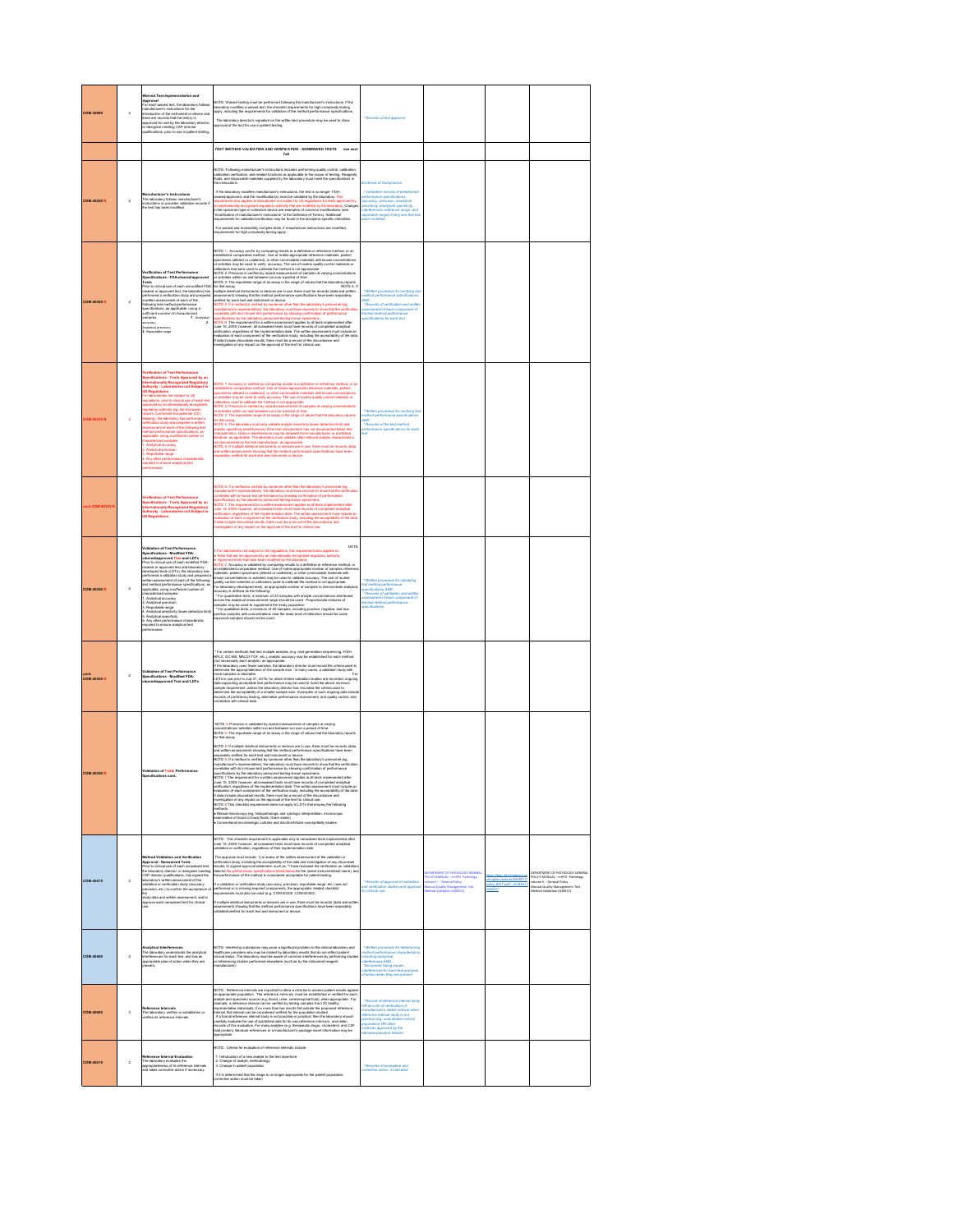| <b>COM.30980</b>     | $\overline{a}$ | Waived Test Implementation and<br>Approval<br>For each waived test, the lab<br>oratory follow<br>For each waived test, the laboratory fobows<br>menufacturer's instructions for the<br>introduction of the instrument or device and<br>introduction of the instrument or device and<br>approved for use by the laboratory director<br>or desig                                                                                                                                                                                                                                                                                                                                                                                                         | NOTE: Waived testing must be performed following the manufacturer's instructions. If the<br>laboratory modifies a waived test, the checklat requirements for high complexity testing<br>apply, including the requirements for valida<br>The laboratory director's signature on the written test procedure may be used to show<br>approval of the test for use in patient testing.                                                                                                                                                                                                                                                                                                                                                                                                                                                                                                                                                                                                                                                                                                                                                                                                                                                                                                                                                                                                                                                                                                                                                                                                                         | * Records of test approve                                                                                                                                                                                                                                                                     |                                                                                                                                                                                       |                                                                    |                                                                                                                                                                |
|----------------------|----------------|--------------------------------------------------------------------------------------------------------------------------------------------------------------------------------------------------------------------------------------------------------------------------------------------------------------------------------------------------------------------------------------------------------------------------------------------------------------------------------------------------------------------------------------------------------------------------------------------------------------------------------------------------------------------------------------------------------------------------------------------------------|-----------------------------------------------------------------------------------------------------------------------------------------------------------------------------------------------------------------------------------------------------------------------------------------------------------------------------------------------------------------------------------------------------------------------------------------------------------------------------------------------------------------------------------------------------------------------------------------------------------------------------------------------------------------------------------------------------------------------------------------------------------------------------------------------------------------------------------------------------------------------------------------------------------------------------------------------------------------------------------------------------------------------------------------------------------------------------------------------------------------------------------------------------------------------------------------------------------------------------------------------------------------------------------------------------------------------------------------------------------------------------------------------------------------------------------------------------------------------------------------------------------------------------------------------------------------------------------------------------------|-----------------------------------------------------------------------------------------------------------------------------------------------------------------------------------------------------------------------------------------------------------------------------------------------|---------------------------------------------------------------------------------------------------------------------------------------------------------------------------------------|--------------------------------------------------------------------|----------------------------------------------------------------------------------------------------------------------------------------------------------------|
|                      |                |                                                                                                                                                                                                                                                                                                                                                                                                                                                                                                                                                                                                                                                                                                                                                        | TEST METHOD VALIDATION AND VERIFICATION - NONWAIVED TESTS see next<br>Tab                                                                                                                                                                                                                                                                                                                                                                                                                                                                                                                                                                                                                                                                                                                                                                                                                                                                                                                                                                                                                                                                                                                                                                                                                                                                                                                                                                                                                                                                                                                                 |                                                                                                                                                                                                                                                                                               |                                                                                                                                                                                       |                                                                    |                                                                                                                                                                |
| <b>COM.40250 R</b>   | $\overline{2}$ | Manufacturer's Instructions<br>The laboratory follows manufacturer's<br>nstructions or provides validation re<br>he test has been modified.                                                                                                                                                                                                                                                                                                                                                                                                                                                                                                                                                                                                            | NOTE: Following manufacturer's instructions includes performing quality control, calibration,<br>calibration verification, and related functions as applicable to the scope of testing. Reagents<br>fluids, and disposable materials<br>If the laboratory modifies manufacturer's instructions, the test is no broger FDA-<br>cleanediapproved, and the modification(s) must be validated by the laboratory. This<br>requirement also applies to laboratories not subject to<br>in the specimen type or collection device are examples of common modifications (see<br>'modification of manufacturer's instructions" in the Definition of Terms). Additional<br>equirements for validation/verification may be found in the discipline-specific checklists<br>For waived and moderately complex tests, if manufacturer instructions are modified,<br>requirements for high complexity testing apply.                                                                                                                                                                                                                                                                                                                                                                                                                                                                                                                                                                                                                                                                                                      | <b>University of Committees</b><br>* Validation records of established<br>formance specifica<br>.<br>Jaccuracy, precision, analytical<br>Jansitivity, analytical specificity<br>isterferences, reference range, and<br>eportable range) of any test that has                                  |                                                                                                                                                                                       |                                                                    |                                                                                                                                                                |
| <b>COM.40300 R</b>   | $\overline{2}$ | Verification of Test Performa<br>and with the formance<br>Specifications - FDA-cleared lappro<br>Tests<br>l'ests<br>Pierz to clinical use of each unmodified FDA<br>cleared or approved test, the laboratory has<br>performed a verification study and prepared<br>settleminassessment of each of the<br>upecifications, as applicable, using a<br>specifi<br>ufficient number of characterize<br>auxecent name<br>aamplea.<br>Analytical precisi<br>1. Analytical<br>3. Reportable rane                                                                                                                                                                                                                                                               | NOTE 1: Accuracy vertile by comparing results to a definitive or reference method, or an examination of the state of the state of the state of the state of the state of the state of the state of the state of the state of<br>or activities within run and between run over a period of time.<br>or activities within run and between run over a person or sme.<br>NOTE 3. The reportable range of an assay is the range of values that the laboratory reports<br>Wolf E. A. ven represents many a community and in the specifical state of the Constant and South Constant and Constant and Constant and Constant and Constant and Constant and Constant and Constant and Constant and Constant<br>is by the labors<br><b>Income testing know</b><br>.<br>NOTE 6: The requirement for a written assessment applies to all tests implemented after<br>June 15, 2009; however, all nonwaived tests must have records of completed analytical<br>verification, regardless of the implementation date. The written assessment must include an<br>evaluation of each component of the verification study, including the acceptability of the data<br>If data include discordant results, there must be a record of the discordance and<br>investigation of any impact on the approval                                                                                                                                                                                                                                                                                                                       | Written procedure for verifying tes<br>nethod performance specifications<br>VVD<br>* Records of verification and write<br>assessment of each comp<br>The fast method performan<br>dons for each test                                                                                          |                                                                                                                                                                                       |                                                                    |                                                                                                                                                                |
| <b>OM.40325N</b>     | $\bar{2}$      | erification of Test Performance<br>Specifications - Tests Approved by an<br>internationally Recognized Regulatory<br>kuthority - Laboratories not Subject to<br>JS Regulations<br>18 Regulations<br>or laboratories not subject to US<br>aguiations, prior to clinical use of each t<br>pproved by an internationally recognize<br>regulatory authority (eg, the European<br>inion's Conformbi Européanne (CE)<br>Airking), the laboratory has performed a<br>verification study and prepared a written<br>seasament of each of the following test<br>whod performance specifications, as<br>pplicable, using a sufficient number of<br>haracterized samples:<br>Analytical accuracy<br>Analytical precision<br>sure analytical test                   | NOTE 1: Accuracy is verified by comparing neutrals as definitive or reference method, or and the comparison method, it is different to the comparison of the comparison of the comparison of the comparison of the comparison<br>or activities within run and between run over a period of time.<br>VOTE 3: The reportable range of an assay is the range of values that the laboratory reports<br>or this assay<br>for this many changes years also validate analytic servativity (tower detection limit) and the NGTs and the NGTs are considered by the server of the NGTs and the NGTs are considered by the SNCTs and the NGTs are the NGTs                                                                                                                                                                                                                                                                                                                                                                                                                                                                                                                                                                                                                                                                                                                                                                                                                                                                                                                                                          | * Written procedure for verifying tea<br>rethod performance specifications<br><b>AND</b><br>*Records of the test method<br>ice spec                                                                                                                                                           |                                                                                                                                                                                       |                                                                    |                                                                                                                                                                |
| nt.COM.403251        |                | <b>Jackington of Test Performan</b><br><b>Specifications - Tests Approved by an<br/>Internationally Recognized Regulatory<br/>Authority - Laboratories not Subject to<br/>Its Requisitions</b><br><b>IS Reg</b><br><b>Bons</b>                                                                                                                                                                                                                                                                                                                                                                                                                                                                                                                         | NOTE 6: If a method is verified by someone other than the laboratory's personnel (eg.<br>minutaclaner's representative), the laboratory mast have records to show that the verifical<br>spectrastics with in-boxe test performance b<br>une 15, 2009; however, all nonwaived tests must have records of completed analytical<br>enfication, regardless of the implementation date. The written assessment must include an<br>valuation of each component of the verification study, including the acceptability of the dat<br>f data include discordant results, there must be a record of the discordance and<br>nvestigation of any impact on the approval of the test for clinical use.                                                                                                                                                                                                                                                                                                                                                                                                                                                                                                                                                                                                                                                                                                                                                                                                                                                                                                                |                                                                                                                                                                                                                                                                                               |                                                                                                                                                                                       |                                                                    |                                                                                                                                                                |
| <b>COM.40350 R</b>   | $\overline{2}$ | Validation of Test Performance<br>Specifications - Modified FDA-<br>cleared/approved Test and LDTs<br>Prior to clinical use of each modified FDA-<br>cleared or approved test and laboratory-<br>developed tests (LDTs), the laboratory has<br>erformed a val<br>rformed a validation study and prepared :<br>itten assessment of each of the following<br>est method performance specifications, as<br>spplicable, using a sufficient number of<br>characterized samples:<br>characterized samples<br>1. Analytical accuracy<br>2. Analytical precision<br>3. Reportable range<br>4. Analytical sensitivity<br>vity flower detection limit<br>Analytical specificity<br>8. Any other performance characteristic<br>required to ensure analytical test | <b>NOTE</b><br>1 For laboratories not subject to US regulations, this requirement also applies to<br>• Tests that are not approved by an internationally recognized regulatory authorit<br>• Approved tests that have been modified by the laborato<br>e. Approved latelli The Michael Bernstein (Statelli by The Michael Office of the Michael De Accuracy is validated by comparing testich to a distribute or included and the comparison restricts that the comparison of the com<br>equivocal samples should not be used.                                                                                                                                                                                                                                                                                                                                                                                                                                                                                                                                                                                                                                                                                                                                                                                                                                                                                                                                                                                                                                                                            | * Written procedure for validating<br>ist method performance<br>pecifications AND<br>rat mentor performance<br>pecifications AND<br>* Records of validation and written<br>ssessment of each component of<br>he test method performance<br>sine.                                              |                                                                                                                                                                                       |                                                                    |                                                                                                                                                                |
| cont.<br>COM.40350 R | $\overline{2}$ | Validation of Test Performance<br>Specifications - Modified FDA-<br>cleared/approved Test and LDTs                                                                                                                                                                                                                                                                                                                                                                                                                                                                                                                                                                                                                                                     | $^{\circ}$ For certain restricts that test readigion analytes (e.g. noti-generation sequencing, F1914, IPC (pcf modes<br>and Diffusion and the set of the set of the set of the set of the set<br>of the set of the set of the set of t<br>LDTs in use prior to July 31, 2016, for which limited validation studies are recorded, ongoing<br>dalla supporting acceptable leat parformance may be used to meet the above minimum<br>sample requirement, unitase the laboratory director has recorded the criteria used to<br>determine the acceptability of a smaller sample size.                                                                                                                                                                                                                                                                                                                                                                                                                                                                                                                                                                                                                                                                                                                                                                                                                                                                                                                                                                                                                         |                                                                                                                                                                                                                                                                                               |                                                                                                                                                                                       |                                                                    |                                                                                                                                                                |
| <b>COM.40350 R</b>   |                | <b>Validation of Tests Performance</b>                                                                                                                                                                                                                                                                                                                                                                                                                                                                                                                                                                                                                                                                                                                 | NOTE 3: Precision is validated by repeat measurement of samples at varying<br>concentrations/ activities within-run and between-run over a period of time.<br>NOTE 4: The reportable range of an assay is the range of values that the laboratory reports<br>for that assay<br>NOTE 5: If multiple identical instruments or devices are in use, there must be records (data<br>$\label{eq:1} \begin{minipage}[t]{0.9\textwidth} \begin{tabular}{p{0.8cm}} \textbf{0.9\textwidth} \begin{tabular}{p{0.8cm}} \textbf{0.9\textwidth} \begin{tabular}{p{0.8cm}} \textbf{0.9\textwidth} \begin{tabular}{p{0.8cm}} \textbf{0.9\textwidth} \begin{tabular}{p{0.8cm}} \textbf{0.9\textwidth} \begin{tabular}{p{0.8cm}} \textbf{0.9\textwidth} \begin{tabular}{p{0.8cm}} \textbf{0.9\textwidth} \begin{tabular}{p{0.8cm}} \textbf{0.9\textwidth} \begin{tabular$<br>100 housewar all nonseleed tests must b<br>verification, regardiase of the implementation date. The written assessment must include an<br>valuation of each component of the verification study, including the acceptability of the date<br>If data include discordant results, there must be a record of the discordance and<br>investigation of any impact on the approval of the test for clinical use.<br>NOTE & This checklist requirement does not apply to LDTs that employ the foll<br>wing<br>mellinde:<br>• Manual microscopy (eg, histopathologic and cytologic interpretation, microscopi<br>• Kennaliton of blood or body fluids, Gram stalmi)<br>• Conventional microbiologic cultures and discloroth/lube susceptibility studie |                                                                                                                                                                                                                                                                                               |                                                                                                                                                                                       |                                                                    |                                                                                                                                                                |
| COM.40475            | $\overline{2}$ | of Matidesian and Maxification<br>Method Validation and Verification<br>Approval - Monwalved Teats<br>Prior to clinical use of each normalised teat<br>the laboratory director, or designee meeting<br>CAP director qualifications, has signed the<br>laboratory's willian asse<br>sive Heat<br>recision, etc.) to confirm the acceptance o<br>the<br>Worly clate and written assessment, and to<br>approve each nonweived test for clinical                                                                                                                                                                                                                                                                                                           | .<br>NOTE: This checklist requirement is applicable only to nonvalued tests implemented at<br>June 15, 2009; however, all nonvalued tests must have records of completed analytical<br>a of their imple<br>The approval must include: 1) a review of the written assessment of the validation<br>rme approximation transmission of the second of the deviation of the control of the second state of the second state of the second state of the second state of the second state of the second state of the second state of t<br>If a validation or verification study (accuracy, precision, reportable range, etc.) was not<br>performed or is missing required components, the appropriate, related checklist<br>requirements must also be cited (e.g. COM-40300, COM-40350).<br>f multiple id<br>ces are in use, there must be records (data and wit<br>ta or devi<br>assessment) showing that the method performance specifications have been separately<br>validated/verified for each test and instrument or device.                                                                                                                                                                                                                                                                                                                                                                                                                                                                                                                                                                               | Records of approval of validation<br>and verification atudies and approval<br>for clinical use                                                                                                                                                                                                | <b>PARTMENT OF PATHOLOGY GENERAL</b><br><b>OUCY MANUAL: - HIPO - Pathology</b><br>stame II - General Policy<br>nt:Test<br><b>fancial Quality Manager</b><br>lethod Validation (QM015) | Proplémy (policien /68/8917/<br>stor 8917 adf7 +0.089512<br>456227 | EPARTMENT OF PATHOLOGY GENERA<br>POLICY MANUAL: - HPO- Pathology<br>dume II - General Policy<br>nt Test<br>Manual: Quality Manage<br>Method Validation (QM015) |
| COM.40500            | $\overline{2}$ | Analytical Interferences<br>The laboratory understands the analytical<br>interferences for each test, and has an<br>appropriate plan of action when they are<br>heavy                                                                                                                                                                                                                                                                                                                                                                                                                                                                                                                                                                                  | NOTE: Interfering substances may pose a significent problem to the clinical laboratory and<br>healthcare providers who may be misled by laboratory results that do not reflect patient<br>clinical status. The laboratory must be aw<br>.<br>ming studie<br>ranufacturer)                                                                                                                                                                                                                                                                                                                                                                                                                                                                                                                                                                                                                                                                                                                                                                                                                                                                                                                                                                                                                                                                                                                                                                                                                                                                                                                                 | Written procedure for dete<br>ethod performance characteriatics<br>tcluding analytical<br>tlarierences AND<br>"Document liating known<br>interferences for each test and plan<br>of action when they are present                                                                              |                                                                                                                                                                                       |                                                                    |                                                                                                                                                                |
| <b>COM.40605</b>     | $\overline{2}$ | Reference Intervals<br>The laboratory verifies or establishes or<br>verifies its reference intervals.                                                                                                                                                                                                                                                                                                                                                                                                                                                                                                                                                                                                                                                  | .<br>NOTE: Reference intervals are important to allow a clinician to assess patient results again<br>an appropriate population. The reference intervals must be established or verified for ea<br>in appropriate population. The reference intervals must be established or verified for each<br>malyhe and speciment source (e.g. blood, urine, cerebroophal fluid), when appropriate. For<br>scample, a reference interval can be ve<br>nterval, that interval can be considered verified for the population studied<br>If a formal reference interval study in not possible or proposers in the laboratory should<br>carefully welliated the use of published data for the convertience at his rule and residual production<br>carefully within a test and                                                                                                                                                                                                                                                                                                                                                                                                                                                                                                                                                                                                                                                                                                                                                                                                                                             | Record of reference interval study<br>.<br>DR records of verification of<br>manufacturer's stated interval when<br>aference interval study is not<br>iractical (eg. unavailable normal<br>Iopulation) OR other<br>opulation) OR other<br>rethods approved by the<br>iboratory/section directo |                                                                                                                                                                                       |                                                                    |                                                                                                                                                                |
| <b>COM.40615</b>     | $\overline{2}$ | Reference Interval Evaluation<br>The laboratory evaluates the<br>appropriateness of its reference interval<br>and takes corrective action if necessary<br>as comective action if necessary.                                                                                                                                                                                                                                                                                                                                                                                                                                                                                                                                                            | NOTE: Criteria for evaluation of reference intervals include:<br>1. Introduction of a new analyte to the test repertoire<br>2. Change of analytic methodology<br>3. Change in patient population<br>If it is determined that the range is no longer appropriate for the patient popular<br>consctive action must be taken.<br>ion,                                                                                                                                                                                                                                                                                                                                                                                                                                                                                                                                                                                                                                                                                                                                                                                                                                                                                                                                                                                                                                                                                                                                                                                                                                                                        | * Records of evaluation and<br>corrective action, if indicated                                                                                                                                                                                                                                |                                                                                                                                                                                       |                                                                    |                                                                                                                                                                |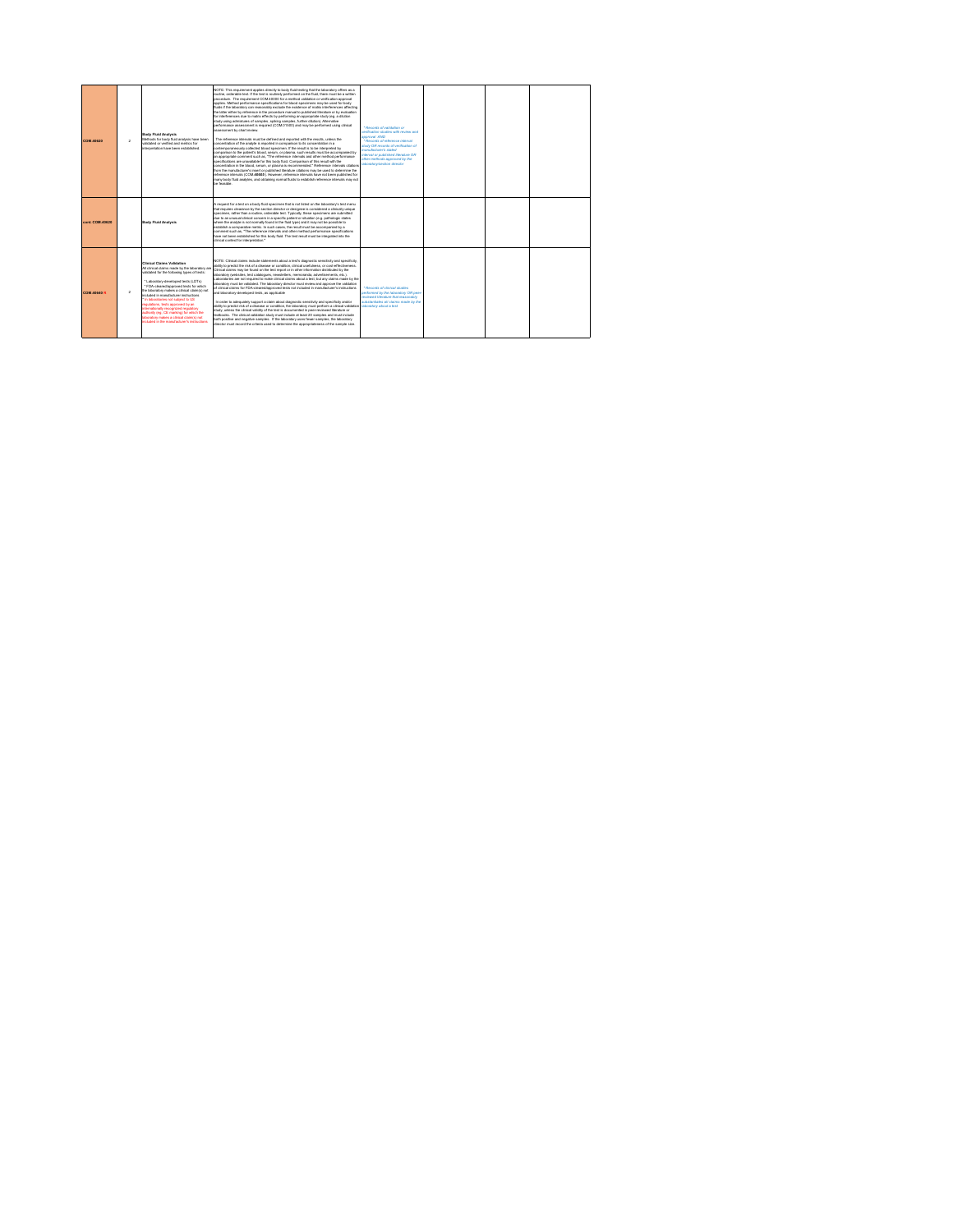| <b>COM.40620</b>   | $\overline{2}$ | Body Fluid Analysis<br>Methods for body fluid analysis have been<br>religied or verified and metrics for<br>interpretation have been established.                                                                                                                                                                                                                                                                                                                                                                                                        | NOTE: This requirement applies directly to body fluid testing that the laboratory offers as a<br>routine, ordershie test. If the test is routinely performed on the fluid, there must be a written<br>procedure. The requirement COM-40000 for a method validation or verification approval<br>applies. Method performance specifications for blood specimens may be used for body<br>fluids if the laboratory can reasonably exclude the existence of matrix interferences affecting<br>the latter either by reference in the procedure manual to published literature or by evaluation<br>for interferences due to matrix effects by performing an appropriate study (eq. a dilution<br>study using admistures of samples, spiking samples, further dilution). Alternative<br>performance assessment is required (COM01500) and may be performed using clinical<br>assessment by chart review.<br>The reference intervals must be defined and reported with the results, unless the<br>concentration of the analyte is reported in comparison to its concentration in a<br>contemporaneously collected blood specimen. If the result is to be interpreted by<br>comparison to the patient's blood, serum, or plasma, such results must be accompanied by<br>an appropriate comment such as. "The reference intervals and other method performance<br>specifications are unavailable for this body fluid. Comparison of this result with the<br>concentration in the blood, serum, or plasma is recommended." Reference intervals citations<br>from the manufacturer's insert or published iterature citations may be used to determine the<br>reference intervals (COM.40605). However, reference intervals have not been published for<br>many body fluid analytes, and obtaining normal fluids to establish reference intervals may not<br>be feasible. | * Removie of validation on<br>antification studies with mules and<br>GMA layorous<br>* Records of reference interval<br>study OR records of verification of<br>betels s'renctorers mem<br><b>RO systems! beridiated for Nynetri</b><br>other methods approved by the<br>aboratory/section director |  |  |
|--------------------|----------------|----------------------------------------------------------------------------------------------------------------------------------------------------------------------------------------------------------------------------------------------------------------------------------------------------------------------------------------------------------------------------------------------------------------------------------------------------------------------------------------------------------------------------------------------------------|-------------------------------------------------------------------------------------------------------------------------------------------------------------------------------------------------------------------------------------------------------------------------------------------------------------------------------------------------------------------------------------------------------------------------------------------------------------------------------------------------------------------------------------------------------------------------------------------------------------------------------------------------------------------------------------------------------------------------------------------------------------------------------------------------------------------------------------------------------------------------------------------------------------------------------------------------------------------------------------------------------------------------------------------------------------------------------------------------------------------------------------------------------------------------------------------------------------------------------------------------------------------------------------------------------------------------------------------------------------------------------------------------------------------------------------------------------------------------------------------------------------------------------------------------------------------------------------------------------------------------------------------------------------------------------------------------------------------------------------------------------------------------------------------------------------------------------------------------------------|----------------------------------------------------------------------------------------------------------------------------------------------------------------------------------------------------------------------------------------------------------------------------------------------------|--|--|
| cont. COM.40620    |                | Body Fluid Analysis                                                                                                                                                                                                                                                                                                                                                                                                                                                                                                                                      | A request for a test on a body fluid specimen that is not listed on the laboratory's test menu<br>that requires clearance by the section director or designee is considered a clinically unique<br>specimen, rather than a routine, orderable test. Typically, these specimens are submitted<br>due to an unusual clinical concern in a specific patient or situation (e.g. pathologic states<br>where the analyte is not normally found in the fluid type) and it may not be possible to<br>establish a comparative metric. In such cases, the result must be accompanied by a<br>comment such as. "The reference intervals and other method performance specifications<br>have not been established for this body fluid. The test result must be integrated into the<br>clinical context for interpretation."                                                                                                                                                                                                                                                                                                                                                                                                                                                                                                                                                                                                                                                                                                                                                                                                                                                                                                                                                                                                                                             |                                                                                                                                                                                                                                                                                                    |  |  |
| <b>COM.40640 R</b> | $\mathfrak{p}$ | Clinical Claims Validation<br>All clinical claims made by the laboratory are<br>validated for the following types of tests:<br>Laboratory-developed tests (LDTs)<br>* FDA-cleared/approved tests for which<br>the laboratory makes a clinical claim(s) not<br>ncluded in manufacturer instructions<br>In laboratories not subject to US<br>equisions, tests approved by an<br>Nemationally recognized regulatory<br>authority (eg. CE marking) for which the<br>aboratory makes a clinical claim's) not<br>entrolect in the more fortunar's instructions | NOTE: Clinical claims include statements about a test's diagnostic sensitivity and specificity.<br>ability to predict the risk of a disease or condition, clinical usefulness, or cost-effectiveness.<br>Clinical claims may be found on the test report or in other information distributed by the<br>laboratory (websites, test catalogues, newsletters, memoranda, advertisements, etc.).<br>Laboratories are not required to make clinical claims about a test, but any claims made by the<br>laboratory must be validated. The laboratory director must review and approve the validation<br>of clinical claims for FDA-cleared/approved tests not included in manufacturer's instructions<br>and laboratory-developed tests, as applicable<br>In order to adequately support a claim about diagnostic sensitivity and specificity and/or<br>ability to predict risk of a disease or condition. the laboratory must perform a clinical validation<br>study, unless the clinical validity of the test is documented in peer-reviewed literature or<br>textbooks. The clinical validation study must include at least 20 samples and must include<br>both positive and negative samples. If the laboratory uses fewer samples, the laboratory<br>director must record the criteria used to determine the appropriateness of the sample size                                                                                                                                                                                                                                                                                                                                                                                                                                                                                                              | * Records of clinical studies<br>performed by the Jaboratory OR peer-<br>reviewed (derature that reasonably<br>substantiates all claims made by the<br>aboratory about a test                                                                                                                      |  |  |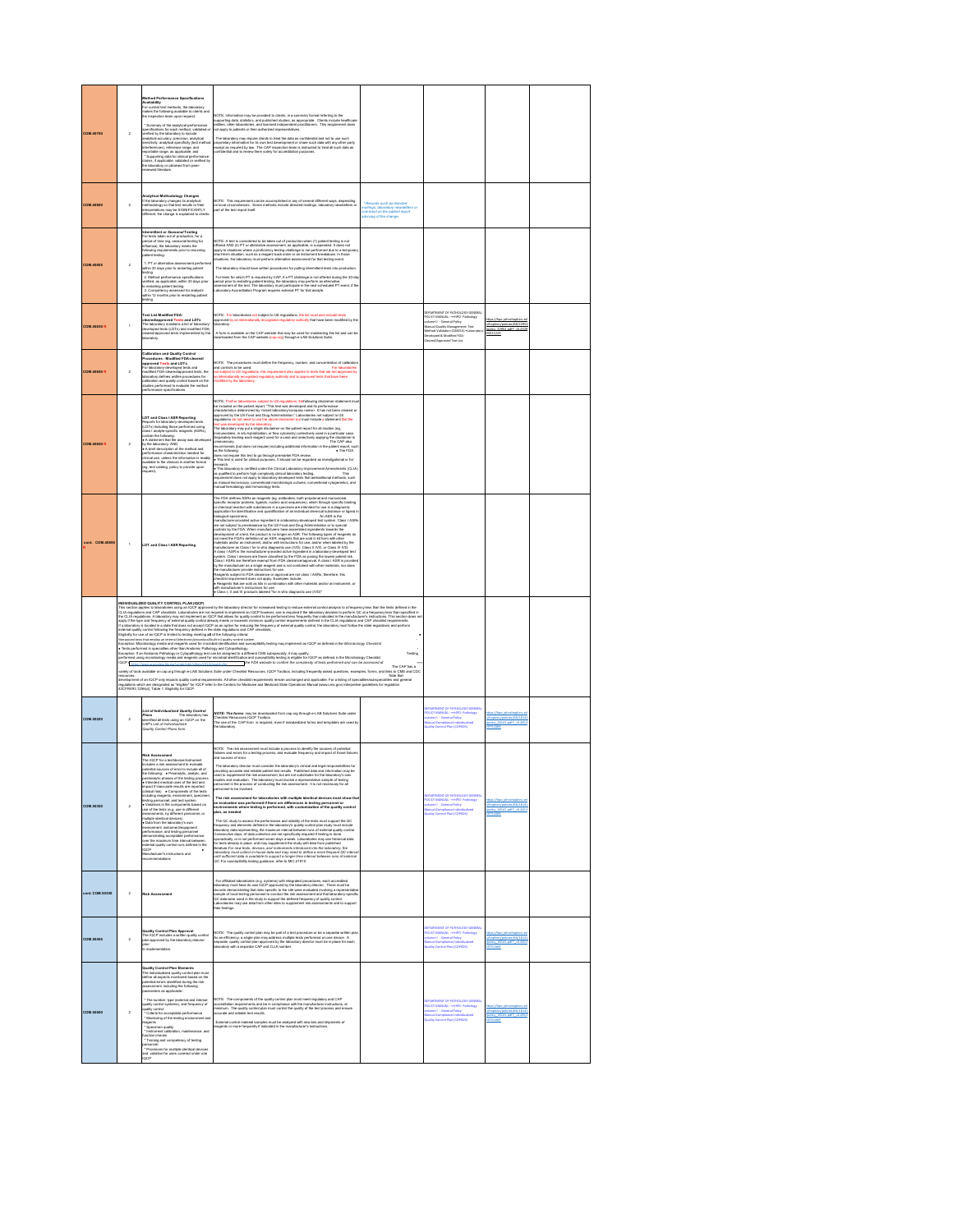| <b>COM.40700</b>   | $\overline{2}$ | d Performance Specifica<br>Availability<br>For current test methods, the laborato<br>makes the following available to<br>the inspection team upon reque<br>se to client<br>.<br>and<br>* Summary of the analytical performance<br>pecifications for each method, validated or<br>reflied by the laboratory to include<br>analytical accuracy, precision, analytical<br>versitivity, analytical specificity (test methor<br>ententwey, amayonsa speciescry (was measured)<br>sharferences), reference range, and<br>sportable range, as applicable; and<br>"Supporting data for clinical performance<br>thires, if applicable, validated or verified by<br>shall discrato<br>.<br>Februar                                                                                                                                                      | NOTE: Information may be provided to clerits, in a summary format referring to the<br>supporting data, statistics, and published studies, as appropriate. Clients include healthcare<br>entities, other laboratories, and licensed i<br>The laboratory may require clients to treat the data as confidential and not to use such<br>proprietary information for its own test development or share such data with any other party<br>except as required by law. The CAP impec                                                                                                                                                                                                                                                                                                                                                                                                                                                                                                                                                                                                                                                                                                                                                                                                                        |                                                                                                                    |                                                                                                                                                                                                                                                                                       |                                                                                           |  |
|--------------------|----------------|-----------------------------------------------------------------------------------------------------------------------------------------------------------------------------------------------------------------------------------------------------------------------------------------------------------------------------------------------------------------------------------------------------------------------------------------------------------------------------------------------------------------------------------------------------------------------------------------------------------------------------------------------------------------------------------------------------------------------------------------------------------------------------------------------------------------------------------------------|-----------------------------------------------------------------------------------------------------------------------------------------------------------------------------------------------------------------------------------------------------------------------------------------------------------------------------------------------------------------------------------------------------------------------------------------------------------------------------------------------------------------------------------------------------------------------------------------------------------------------------------------------------------------------------------------------------------------------------------------------------------------------------------------------------------------------------------------------------------------------------------------------------------------------------------------------------------------------------------------------------------------------------------------------------------------------------------------------------------------------------------------------------------------------------------------------------------------------------------------------------------------------------------------------------|--------------------------------------------------------------------------------------------------------------------|---------------------------------------------------------------------------------------------------------------------------------------------------------------------------------------------------------------------------------------------------------------------------------------|-------------------------------------------------------------------------------------------|--|
| <b>COM.40800</b>   | $\overline{2}$ | Analytical Methodology Changes<br>If the laboratory changes its analytical<br>methodology so that test reautis or their<br>interpretations may be SIGNIFICANTLY<br>different, the change is explained to clien                                                                                                                                                                                                                                                                                                                                                                                                                                                                                                                                                                                                                                | NOTE: This requirement can be accomplished in any of several different ways, depending<br>on local circumstances. Some methods include directed mailings, laboratory newsletters or<br>part of the test report itself.                                                                                                                                                                                                                                                                                                                                                                                                                                                                                                                                                                                                                                                                                                                                                                                                                                                                                                                                                                                                                                                                              | Records such as direct<br>meilings, laboratory newslette<br>comment on the patient repor<br>edvising of the change |                                                                                                                                                                                                                                                                                       |                                                                                           |  |
| <b>COM.40805</b>   | $\overline{2}$ | intermittent or SeasonalTesting<br>For tests taken out of production, for a<br>period of time (eg, seasonal testing for<br>nfluenza), the laboratory meets the<br>following requirements prior to resuming<br>collent testing:<br>1. PT or alternative assessment perfo<br>within 30 days prior to reatering patient<br>wating<br>mating<br>2. Method parformance specifications<br>2. Method parapricable, within 30 days prior<br>to restarting patient testing<br>3. Competency assessed for analysts<br>within 12 months prior to restarting patient<br>testing                                                                                                                                                                                                                                                                           | NOTE: A test is considered to be taken out of production when (1) patient testing is not<br>offered AND (2) PT or alternative assessment, as applicable, is suspended. It does not represented by the state of the state of the state of the state of the state of the state of the state of the state of the state of the<br>The laboratory should have written procedures for putting intermittent tests into p<br>For teats for which PT is required by CAP, if a PT challenge is not offered during the 30-day<br>period prior to restating patient teating, the laboratory may perform an alternative<br>sessesment of the teat. The laboratory must                                                                                                                                                                                                                                                                                                                                                                                                                                                                                                                                                                                                                                           |                                                                                                                    |                                                                                                                                                                                                                                                                                       |                                                                                           |  |
| <b>COM.40830 R</b> | $\mathbf{r}$   | est List Modified FDA-<br><b>Channellapproved Tests and LDTs</b><br>The laboratory maintains a list of laboratory<br>developed tests (LDTs) and modified FDA<br>cleared/approved tests implemented by the<br>cleared/approved tests implemented by the<br>aboratory.                                                                                                                                                                                                                                                                                                                                                                                                                                                                                                                                                                          | NOTE: For laboratories not subject to US regulations, the list must asio include tests<br>approved by an internationally recognized regulatory authority that have been modified by the<br>laboratory.<br>.<br>A form is available on the CAP website that may be used for maintaining this list and can b<br>downloaded from the CAP website (cap.org) through e-LAB Solutions Suite.                                                                                                                                                                                                                                                                                                                                                                                                                                                                                                                                                                                                                                                                                                                                                                                                                                                                                                              |                                                                                                                    | <b>EPARTMENT OF PATHOLOGY GENERA</b><br>SEPARTMENT OF PATHOLOGY GENER,<br>COLOY MANUAL: ——iiPD- Pathology<br>  olarne II - General Polcy<br>  Manual:Quality Management: Text<br>  Merical:Quality Management: Text<br>  Jeveloped & Modified FDA-<br>  Jeveloped & Modified FDA-<br> | 311223                                                                                    |  |
| <b>COM.40840 R</b> | $\bar{2}$      | Calibration and Quality Control<br>Procedures - Modified FDA-cleared<br>approved Tests and LDTs<br>For laboratory-developed lasts and<br>modified FDA-cleared/approved lests, the<br>modified FDA-cleared/approved lests, the<br>aboratory defines written procedures for<br>calibration and quality control based on the<br>itidies performed to evaluate the method<br>serformance specifications.                                                                                                                                                                                                                                                                                                                                                                                                                                          | NOTE: The procedures must define the frequency, number, and concentration of calibrator<br>nd controls to be used.<br>For laboratories<br>not subject to US regulations, this requirement also applies to tests that are not approved by<br>In internationally recognized regulatory authority and to approved tests that have been<br>odified by the laboratory                                                                                                                                                                                                                                                                                                                                                                                                                                                                                                                                                                                                                                                                                                                                                                                                                                                                                                                                    |                                                                                                                    |                                                                                                                                                                                                                                                                                       |                                                                                           |  |
| <b>COM.40850 R</b> | $\overline{2}$ | LDT and Class IASR Reporting<br>Reports for laboratory-developed tests<br>(LDTs) including those performed using<br>class I analyte-specific reagents (ASRs),<br>contain the following:<br>contain the following:<br>• A statement that the assay was develo<br>by the laboratory. AND<br>. A brief description of the method and<br>erformance characteristics needed for<br>clinical use, unless the information is readily<br>wailable to the clinician in another format<br>leg, test catalog, policy to provide upon<br>est).                                                                                                                                                                                                                                                                                                            | NOTE: TheFor lidenticries subject to US regulations, thefollowing disclaimer statement must<br>be included on the palient report: "This leat was developed and to performance<br>characteristics determined by «least taboratery/com<br>leat was developed by the laboratory.<br>The laboratory may put a single disclaimer on the patient report for all studies (eg.<br>Evenumoshine, in situ hybriduation, or flow cytometry) collectively used in a particular case.<br>Sep<br>onecessary.<br>או CAP also המכתונת (but does not require) including additional information in the patient report, such<br>as the following:<br>does not require this test to go through premarket FDA review.<br>• This test is used for clinical purposes. It should not be regarded as investigati<br>. The FDA<br>e rate was wearen to conflict under the Ciricui Luboratory Improvement Amendments (CLIA)<br>as qualified to perform high completaty christial Luboratory Isabiros - This laboratory is considered in the s<br>requirement doesn not                                                                                                                                                                                                                                                         |                                                                                                                    |                                                                                                                                                                                                                                                                                       |                                                                                           |  |
| cont. COM.4085     | $\mathbf{I}$   | <b>LDT and Class I ASR Reporting</b>                                                                                                                                                                                                                                                                                                                                                                                                                                                                                                                                                                                                                                                                                                                                                                                                          | .<br>The FDA defines ASRs as reagents (eg, antibodies, both polyclonal and monoclonal,<br>specific receptor proteins, ligends, nucleic acid sequences), which through specific binding<br>or chemical reaction with substances in a spe<br>application for identification and quantification of an individual chemical substance or ligand<br>application for interfering and constraints of an interfering and constraints of lapse the state of the state of the state of the state of the state of the state of the state of the state of the state of the state of the<br>the manufacturer provide instructions for use.<br>vith manufacturer's instructions for use<br>• Class I, II and III products labeled "for in vitro diagnostic use (IVD)"                                                                                                                                                                                                                                                                                                                                                                                                                                                                                                                                              |                                                                                                                    |                                                                                                                                                                                                                                                                                       |                                                                                           |  |
|                    |                | INDIVIDUALIZED QUALITY CONTROL PLAN (IQCP)                                                                                                                                                                                                                                                                                                                                                                                                                                                                                                                                                                                                                                                                                                                                                                                                    | international departments and in the providing the laboratory director for nonwired testing to reduce attenuincent or may be a frequency less than the limits defined in the limits defined in the limits defined in the limit<br>app) fis ips antisoamg of edmal galk contrained media or exacel minnum quily conclements defined in the CLIA republics and CAP checklet regiments.<br>If a laboratory is tooked in a black of clock of contrained in the contrain<br>Eightigh for air an CO-1 limited to keep montgot of the honorgonate.<br>Newsard that the montgo street descriptions of the honorgon terms when<br>Newsard that the replacement of the montgot professionally included the adversion,<br>variety of tools available on cap ong through e-LAB Solutions Suite under Checklist Resources, IQCP Toolbox, including frequently asked questions, examples, forms, and links to CMS and CDC<br>INote that<br>wwww.<br>elevelopment of an IQCP only impacts quality control requirements. All other checklist requirement of any prod<br>regulators which are designed and go for the CoP refer to the Centers for Medical State Cyperations Manua                                                                                                                                   | Testing<br>The CAP has a                                                                                           |                                                                                                                                                                                                                                                                                       |                                                                                           |  |
| COM.50200          | $\overline{2}$ | List of Individualized Quality Contr<br>Plans<br>Plans<br>identified all tests using an IQCP on the<br>CAP's List of Individualized<br>.<br>Quality Control Plans form                                                                                                                                                                                                                                                                                                                                                                                                                                                                                                                                                                                                                                                                        | NOTE: The forms may be downloaded from cap org through e-LAB Solutions Suite under<br>www.e: . new normar may be coversused trom cap.org into ugn e-Livis couldness cure under:<br>Checklist Resources, IQCP Toolbox.<br>The use of the <i>CAP form</i> is required, even if standardized forms and templates are used by<br>he laboratory                                                                                                                                                                                                                                                                                                                                                                                                                                                                                                                                                                                                                                                                                                                                                                                                                                                                                                                                                          |                                                                                                                    | <b>COARTMENT OF PATHOLOGY GENERAL</b><br><b>CUCY MANUAL: - HIPO - Pathology</b><br>iume II - General Policy<br>arual: Compliance individualized<br>ally Created Blue (CODDIA)                                                                                                         | Propisins/policies/68/1814<br>olcy_18141.pdf?_=0.481<br>rectasts                          |  |
| COM.50300          | $\overline{2}$ | Risk Assessment<br>The IQCP for a teablevical<br>instudies a risk assessment to evaluate potential sources of emor to include all of<br>the following: — Preamatylic, amalytic, profile<br>positionallytic phases of the teating process<br>reg.<br>Aic phases of the testing proce<br>moact if inaccurate results are reported<br>(clinical risk) . Components of the tests<br>(climating) = Components of the last<br>increase of the last symptom of the last symptom (and the partner, a<br>pacimized and the component and system in the components based on use<br>of the last is e.g. use in different systems<br>performance, and testing personnel<br>demonstrating acceptable performance<br>over the maximum time interval between<br>stemal quality control runs defined in the<br><b>IQCP</b><br>Manufacturer's instructions and | NOTE: The risk assessment must include a process to identify the sources of potential<br>ind sources of a<br>The laboratory director must consider the laboratory's clinical and legal responsibilities for<br>.<br>providing accurate and reliable patient test results. Published data and information may be<br>used to supplement the risk assessment, but are not substitutes for the laboratory's own<br>turias and availation. The laboratory must inurbe a reconsentative sample of ta<br>sting<br>personnel in the process of conducting the risk assessment. It is not necessary for all<br>personnel to be involved.<br>The risk assessment for laboratories with multiple identical devices must show the<br>an evaluation was performed if there are differences in testing personnel or<br>environments where testing is performed, with customization of<br>lan, as needed<br>The CC study to see<br>sea the partformance and stability of the lasts must support the CC<br>impacture year describes the first material of the stability of units<br>of the constant of the stability of details of the constant of<br>until aufficient data is available to support a longer time interval between runs of external<br>QC .For susceptibility testing guidance, refer to MIC 21910. |                                                                                                                    | INT OF PATHOLOGY GENERA<br><b>ILICY MANUAL: -- HPO - Pathology</b><br>  Azmel II - General Policy<br> -<br>ual:Compliance:Individual<br>Ity Control Plan (COP005)                                                                                                                     | hapkins /policies/68/1814<br>olcy 18141.od? +0.481<br>1751669                             |  |
| cont. COM.50300    | $\overline{2}$ | <b>Risk Assessment</b>                                                                                                                                                                                                                                                                                                                                                                                                                                                                                                                                                                                                                                                                                                                                                                                                                        | For affiliated laboratories (e.g. systems) with integrated procedures, each accredited<br>laboratory must have its own IQCP approved by the laboratory director. There must be<br>records demonstrating that initia systems and the<br>QC data were used in the study to support the defined frequency of quality control<br>.<br>aboratories may use data from other sites to supplement risk assessments and to support<br>heir findings.                                                                                                                                                                                                                                                                                                                                                                                                                                                                                                                                                                                                                                                                                                                                                                                                                                                         |                                                                                                                    |                                                                                                                                                                                                                                                                                       |                                                                                           |  |
| COM.50400          | $\overline{2}$ | ality Control Plan Approval<br>The IQCP includes a written quality con<br>slan approved by the laboratory director<br>srior<br>lo implementation                                                                                                                                                                                                                                                                                                                                                                                                                                                                                                                                                                                                                                                                                              | NOTE: The quality control plan may be pert of a test procedure or be a seperate written pla<br>As an efficiency, a single plan may address multiple tests performed on one device. A<br>seperate, quality control plan approved by t                                                                                                                                                                                                                                                                                                                                                                                                                                                                                                                                                                                                                                                                                                                                                                                                                                                                                                                                                                                                                                                                |                                                                                                                    | <b>INTOI PATHOLOGY GENERA</b><br>JCY MANUAL: -== (IPO - Pat<br>arne II - General Policy<br>rual: Compliance individual<br>ility Control Pian (COPODS)                                                                                                                                 | hopkins/policies/68/18<br>olcy_1814)                                                      |  |
| <b>COM.50500</b>   | $\overline{2}$ | uality Control Plan Elements<br>Some in the individualized quality control plan must<br>define all aspects monitored based on the potential errors identified during the risk<br>potential errors identified during the following<br>parameters as applicable:<br>* The number, type (external and internal<br>quality combol systems), and frequency o<br>uality control<br>* Criteria for acceptable performance<br>* Monitoring of the testing environment and<br>shages<br>* Specimen quality<br>* Instrument calibration, maintenance, and<br>.<br>* Training and competency of testing<br>ersonnel<br><br>visions for multiple identical devices<br>ariation for uses covered under one<br>and<br>OCP                                                                                                                                   | NOTE: The components of the quality control plan must meet regulatory and CAP<br>accreditation requirements and be in compliance with the manufacturer instructions, at<br>minimum. The quality control plan must control the quality of the test process and ensure<br>accurate and reliable test results.<br>External control material samples must be analyzed with new lots and shipments of<br>eagents or more frequently if indicated in the manufacturer's instructions.                                                                                                                                                                                                                                                                                                                                                                                                                                                                                                                                                                                                                                                                                                                                                                                                                     |                                                                                                                    | <b>EPARTMENT OF PATHOLOGY GENERAL</b><br><b>OLICY MANUAL: - HIPO- Pathology</b><br>slame II - General Policy<br>Ianual Compliance individualized<br>justity Control Plan (COPO05)                                                                                                     | tex://hoo.ichnshookins<br>Acolons footcom/68/18141<br>bolcy 18141.od? <0.4813<br>19751669 |  |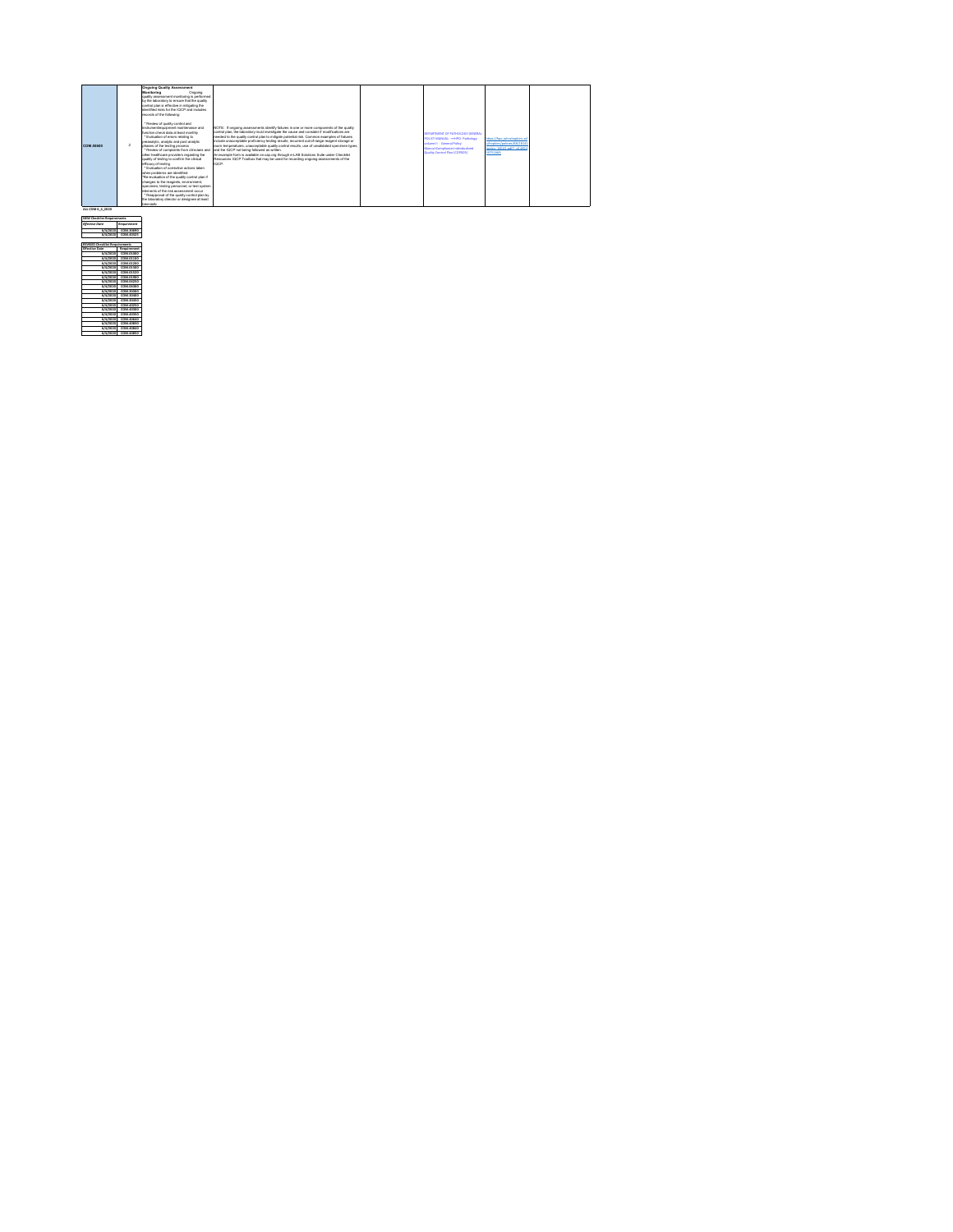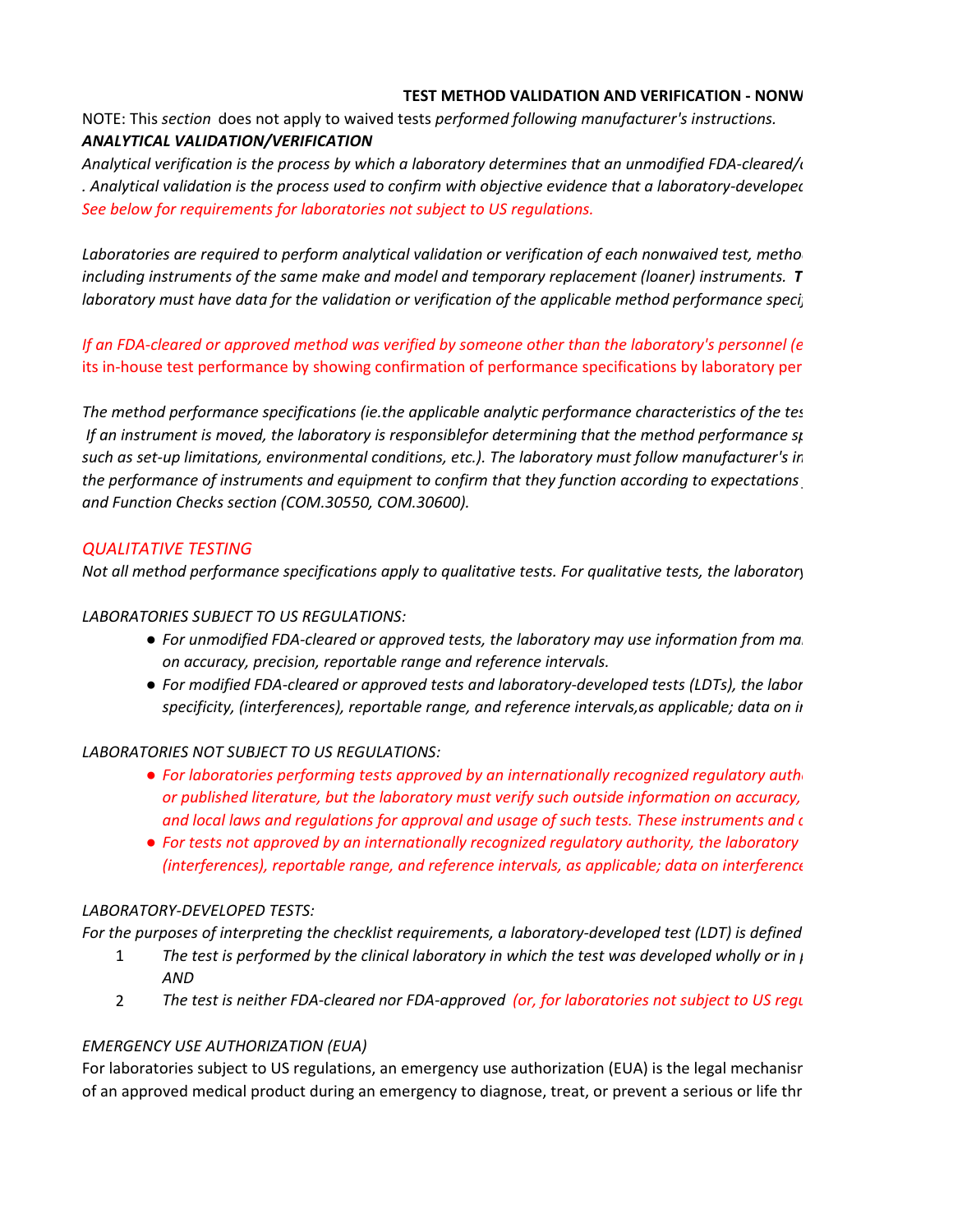#### **TEST METHOD VALIDATION AND VERIFICATION - NONW**

NOTE: This *section* does not apply to waived tests *performed following manufacturer's instructions. ANALYTICAL VALIDATION/VERIFICATION*

*Analytical verification is the process by which a laboratory determines that an unmodified FDA-cleared/a . Analytical validation is the process used to confirm with objective evidence that a laboratory-developed See below for requirements for laboratories not subject to US regulations.*

Laboratories are required to perform analytical validation or verification of each nonwaived test, method *including instruments of the same make and model and temporary replacement (loaner) instruments. T laboratory must have data for the validation or verification of the applicable method performance specif* 

*If an FDA-cleared or approved method was verified by someone other than the laboratory's personnel (e*  its in-house test performance by showing confirmation of performance specifications by laboratory per

*The method performance specifications (ie.the applicable analytic performance characteristics of the tes If an instrument is moved, the laboratory is responsiblefor determining that the method performance sp such as set-up limitations, environmental conditions, etc.). The laboratory must follow manufacturer's in the performance of instruments and equipment to confirm that they function according to expectations and Function Checks section (COM.30550, COM.30600).*

# *QUALITATIVE TESTING*

*Not all method performance specifications apply to qualitative tests. For qualitative tests, the laboratory* 

*LABORATORIES SUBJECT TO US REGULATIONS:*

- *For unmodified FDA-cleared or approved tests, the laboratory may use information from man on accuracy, precision, reportable range and reference intervals.*
- *For modified FDA-cleared or approved tests and laboratory-developed tests (LDTs), the labor specificity, (interferences), reportable range, and reference intervals,as applicable; data on in*

## *LABORATORIES NOT SUBJECT TO US REGULATIONS:*

- *For laboratories performing tests approved by an internationally recognized regulatory autho or published literature, but the laboratory must verify such outside information on accuracy, and local laws and regulations for approval and usage of such tests. These instruments and d*
- *For tests not approved by an internationally recognized regulatory authority, the laboratory (interferences), reportable range, and reference intervals, as applicable; data on interference*

## *LABORATORY-DEVELOPED TESTS:*

*For the purposes of interpreting the checklist requirements, a laboratory-developed test (LDT) is defined* 

- 1 *The test is performed by the clinical laboratory in which the test was developed wholly or in p AND*
- 2 *The test is neither FDA-cleared nor FDA-approved (or, for laboratories not subject to US regu*

## *EMERGENCY USE AUTHORIZATION (EUA)*

For laboratories subject to US regulations, an emergency use authorization (EUA) is the legal mechanisr of an approved medical product during an emergency to diagnose, treat, or prevent a serious or life thr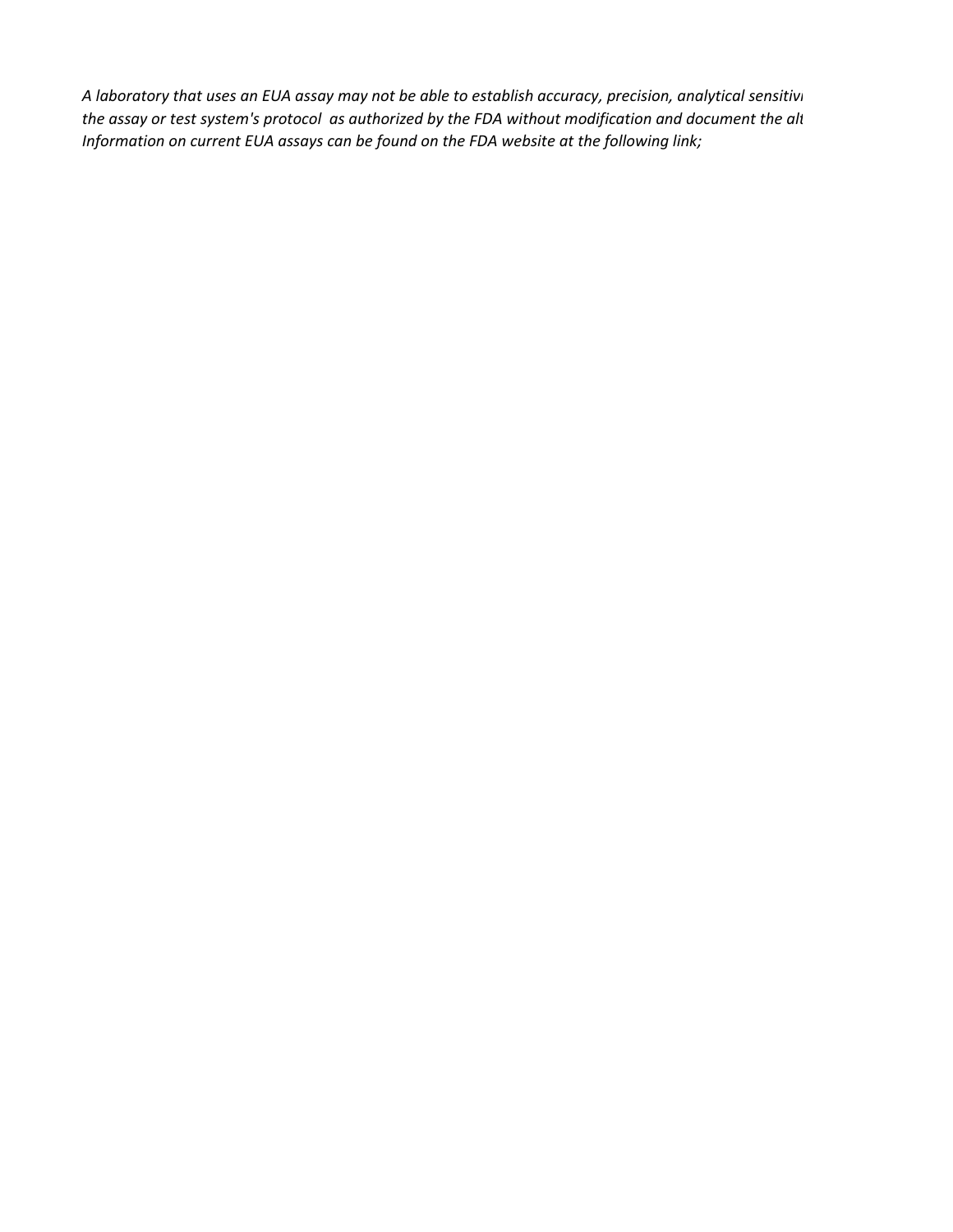*A laboratory that uses an EUA assay may not be able to establish accuracy, precision, analytical sensitivi the assay or test system's protocol as authorized by the FDA without modification and document the alt Information on current EUA assays can be found on the FDA website at the following link;*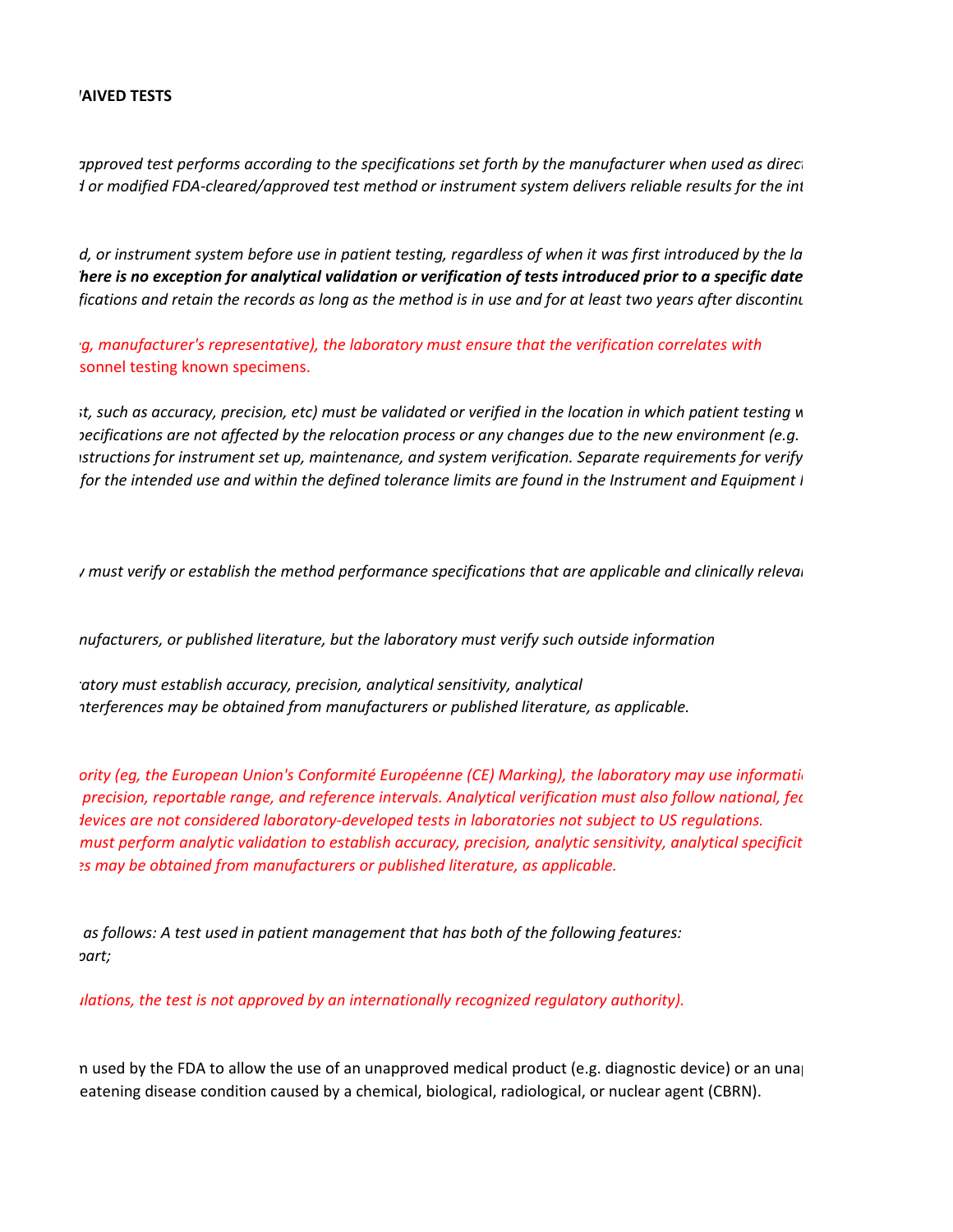#### *MAIVED TESTS*

 *approved test performs according to the specifications set forth by the manufacturer when used as direct d or modified FDA-cleared/approved test method or instrument system delivers reliable results for the int* 

 *d, or instrument system before use in patient testing, regardless of when it was first introduced by the la There is no exception for analytical validation or verification of tests introduced prior to a specific date fications and retain the records as long as the method is in use and for at least two years after discontinu*

 *eg, manufacturer's representative), the laboratory must ensure that the verification correlates with*  sonnel testing known specimens.

 *st, such as accuracy, precision, etc) must be validated or verified in the location in which patient testing w pecifications are not affected by the relocation process or any changes due to the new environment (e.g. nstructions for instrument set up, maintenance, and system verification. Separate requirements for verify for the intended use and within the defined tolerance limits are found in the Instrument and Equipment I* 

 *y must verify or establish the method performance specifications that are applicable and clinically relevan*

 *nufacturers, or published literature, but the laboratory must verify such outside information*

 *ratory must establish accuracy, precision, analytical sensitivity, analytical nterferences may be obtained from manufacturers or published literature, as applicable.*

 *ority (eg, the European Union's Conformité Européenne (CE) Marking), the laboratory may use informatio precision, reportable range, and reference intervals. Analytical verification must also follow national, fed devices are not considered laboratory-developed tests in laboratories not subject to US regulations. must perform analytic validation to establish accuracy, precision, analytic sensitivity, analytical specificit es may be obtained from manufacturers or published literature, as applicable.*

 *as follows: A test used in patient management that has both of the following features: part;*

 *ulations, the test is not approved by an internationally recognized regulatory authority).*

 m used by the FDA to allow the use of an unapproved medical product (e.g. diagnostic device) or an unap eatening disease condition caused by a chemical, biological, radiological, or nuclear agent (CBRN).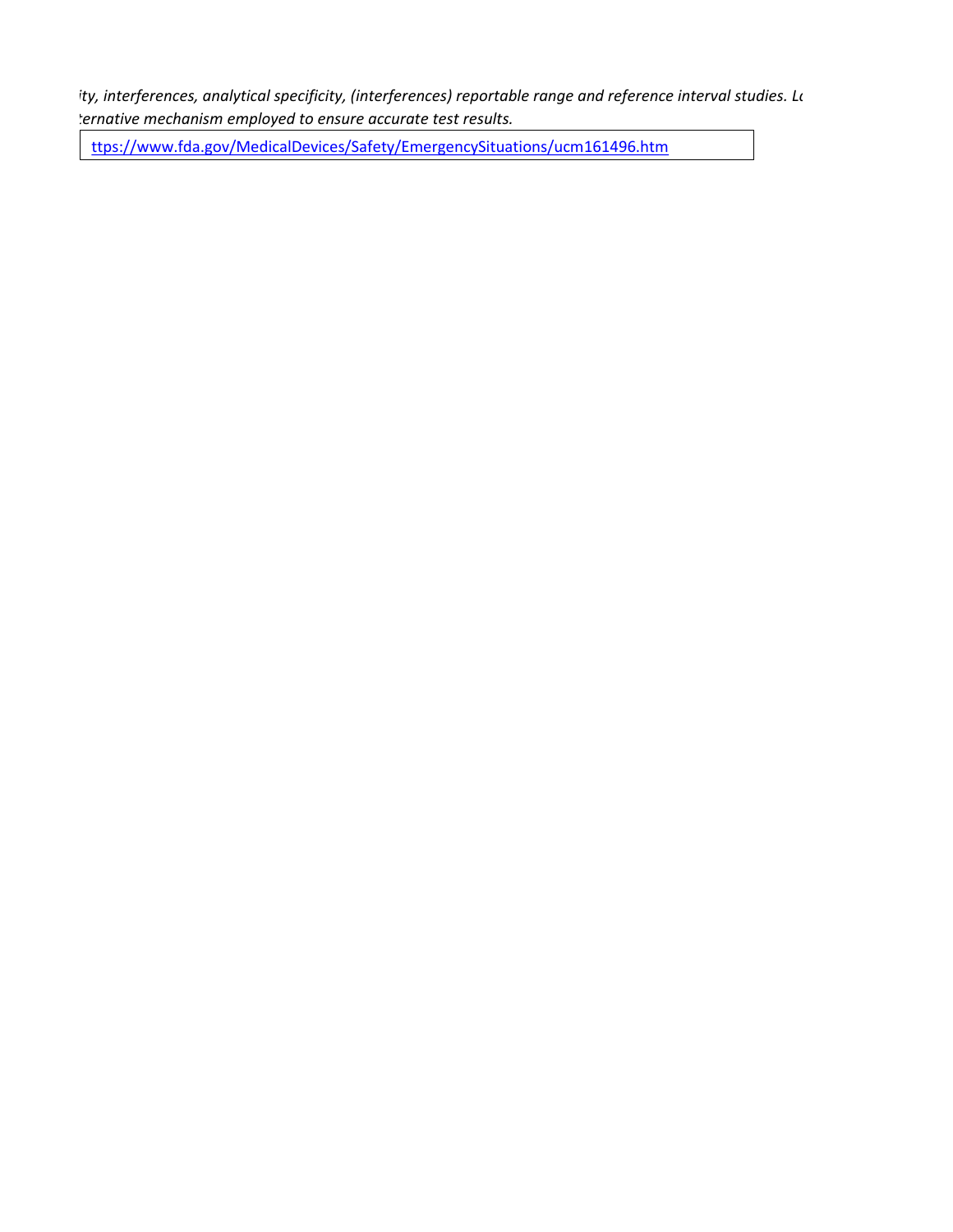*ity, interferences, analytical specificity, (interferences) reportable range and reference interval studies. La ternative mechanism employed to ensure accurate test results.*

ttps://www.fda.gov/MedicalDevices/Safety/EmergencySituations/ucm161496.htm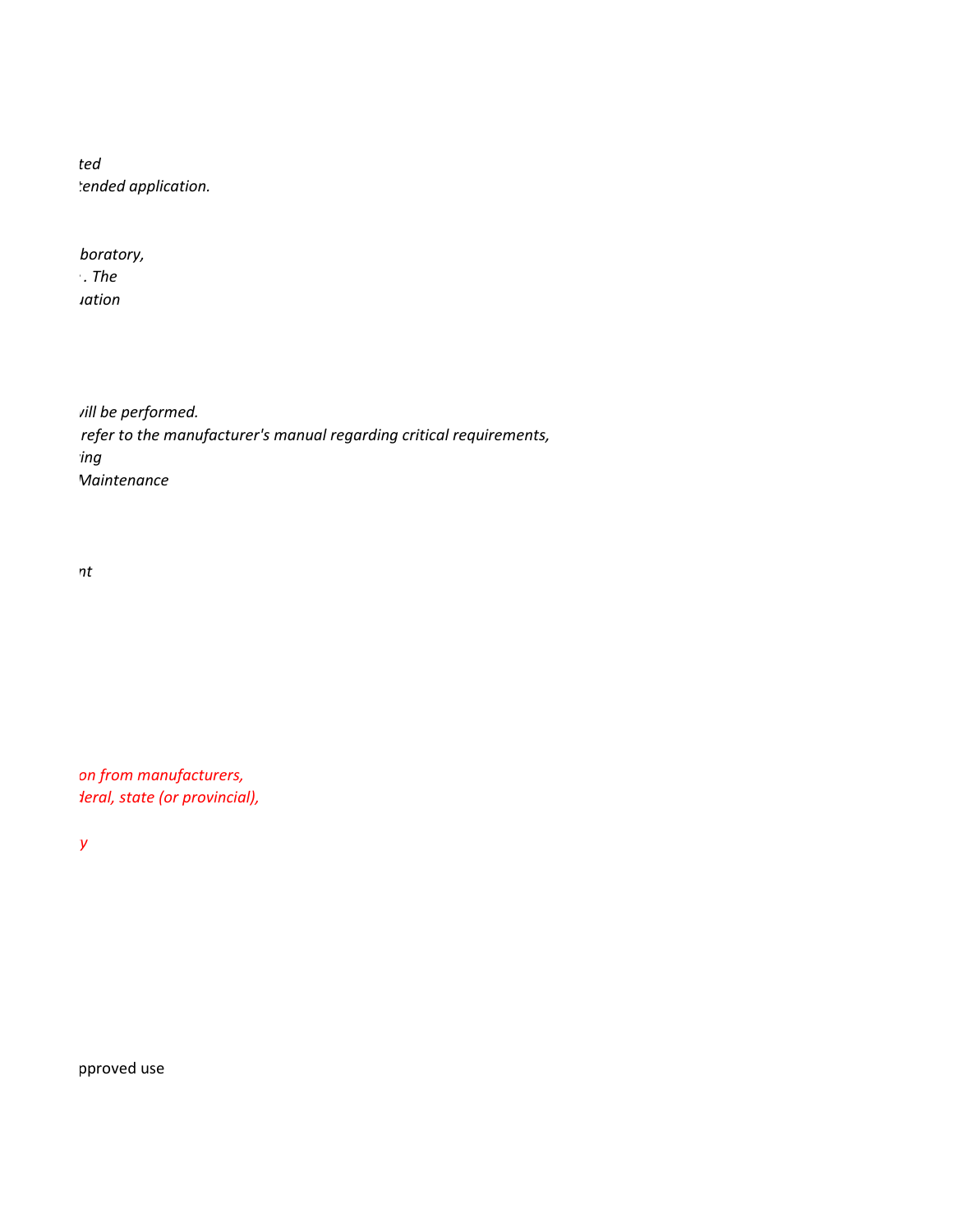*ted tended application.*

 *boratory, e . The uation*

 *will be performed. refer to the manufacturer's manual regarding critical requirements, ying Maintenance*

 *nt*

 *on from manufacturers, deral, state (or provincial),*

**ty** 

pproved use